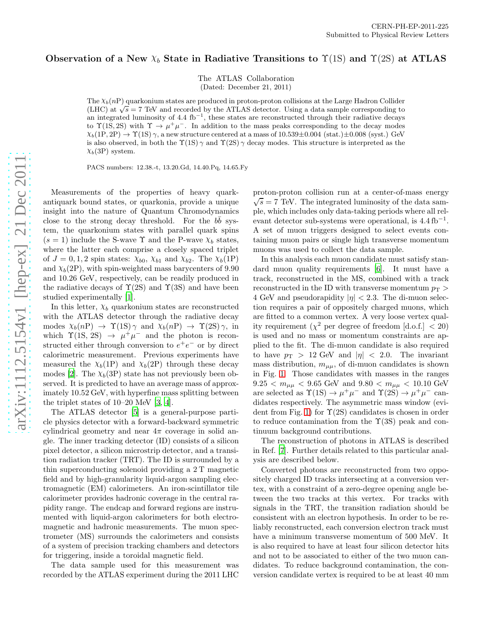## Observation of a New  $\chi_b$  State in Radiative Transitions to  $\Upsilon(1S)$  and  $\Upsilon(2S)$  at ATLAS

The ATLAS Collaboration (Dated: December 21, 2011)

The  $\chi_b(n)$  quarkonium states are produced in proton-proton collisions at the Large Hadron Collider (LHC) at  $\sqrt{s}$  = 7 TeV and recorded by the ATLAS detector. Using a data sample corresponding to an integrated luminosity of 4.4 fb<sup>-1</sup>, these states are reconstructed through their radiative decays to  $\Upsilon(1S, 2S)$  with  $\Upsilon \to \mu^+\mu^-$ . In addition to the mass peaks corresponding to the decay modes  $\chi_b(1P, 2P) \to \Upsilon(1S) \gamma$ , a new structure centered at a mass of 10.539±0.004 (stat.)±0.008 (syst.) GeV is also observed, in both the  $\Upsilon(1S)$   $\gamma$  and  $\Upsilon(2S)$   $\gamma$  decay modes. This structure is interpreted as the  $\chi_b(3P)$  system.

PACS numbers: 12.38.-t, 13.20.Gd, 14.40.Pq, 14.65.Fy

Measurements of the properties of heavy quarkantiquark bound states, or quarkonia, provide a unique insight into the nature of Quantum Chromodynamics close to the strong decay threshold. For the  $b\bar{b}$  system, the quarkonium states with parallel quark spins  $(s = 1)$  include the S-wave  $\Upsilon$  and the P-wave  $\chi_b$  states, where the latter each comprise a closely spaced triplet of  $J = 0, 1, 2$  spin states:  $\chi_{b0}$ ,  $\chi_{b1}$  and  $\chi_{b2}$ . The  $\chi_b(1P)$ and  $\chi_b(2P)$ , with spin-weighted mass barycenters of 9.90 and 10.26 GeV, respectively, can be readily produced in the radiative decays of  $\Upsilon(2S)$  and  $\Upsilon(3S)$  and have been studied experimentally [\[1](#page-3-0)].

In this letter,  $\chi_b$  quarkonium states are reconstructed with the ATLAS detector through the radiative decay modes  $\chi_b(nP) \to \Upsilon(1S) \gamma$  and  $\chi_b(nP) \to \Upsilon(2S) \gamma$ , in which  $\Upsilon(1S, 2S) \rightarrow \mu^+ \mu^-$  and the photon is reconstructed either through conversion to  $e^+e^-$  or by direct calorimetric measurement. Previous experiments have measured the  $\chi_b(1P)$  and  $\chi_b(2P)$  through these decay modes [\[2](#page-3-1)]. The  $\chi_b(3P)$  state has not previously been observed. It is predicted to have an average mass of approximately 10.52 GeV, with hyperfine mass splitting between the triplet states of 10–20 MeV [\[3,](#page-3-2) [4\]](#page-3-3).

The ATLAS detector [\[5](#page-3-4)] is a general-purpose particle physics detector with a forward-backward symmetric cylindrical geometry and near  $4\pi$  coverage in solid angle. The inner tracking detector (ID) consists of a silicon pixel detector, a silicon microstrip detector, and a transition radiation tracker (TRT). The ID is surrounded by a thin superconducting solenoid providing a 2 T magnetic field and by high-granularity liquid-argon sampling electromagnetic (EM) calorimeters. An iron-scintillator tile calorimeter provides hadronic coverage in the central rapidity range. The endcap and forward regions are instrumented with liquid-argon calorimeters for both electromagnetic and hadronic measurements. The muon spectrometer (MS) surrounds the calorimeters and consists of a system of precision tracking chambers and detectors for triggering, inside a toroidal magnetic field.

The data sample used for this measurement was recorded by the ATLAS experiment during the 2011 LHC

proton-proton collision run at a center-of-mass energy  $\sqrt{s} = 7$  TeV. The integrated luminosity of the data sample, which includes only data-taking periods where all relevant detector sub-systems were operational, is  $4.4 \text{ fb}^{-1}$ . A set of muon triggers designed to select events containing muon pairs or single high transverse momentum muons was used to collect the data sample.

In this analysis each muon candidate must satisfy standard muon quality requirements [\[6\]](#page-3-5). It must have a track, reconstructed in the MS, combined with a track reconstructed in the ID with transverse momentum  $p_{\rm T}$  > 4 GeV and pseudorapidity  $|\eta| < 2.3$ . The di-muon selection requires a pair of oppositely charged muons, which are fitted to a common vertex. A very loose vertex quality requirement  $(\chi^2$  per degree of freedom [d.o.f.]  $\langle 20 \rangle$ is used and no mass or momentum constraints are applied to the fit. The di-muon candidate is also required to have  $p_{\text{T}} > 12$  GeV and  $|\eta| < 2.0$ . The invariant mass distribution,  $m_{\mu\mu}$ , of di-muon candidates is shown in Fig. [1.](#page-1-0) Those candidates with masses in the ranges  $9.25 < m_{\mu\mu} < 9.65$  GeV and  $9.80 < m_{\mu\mu} < 10.10$  GeV are selected as  $\Upsilon(1S) \to \mu^+\mu^-$  and  $\Upsilon(2S) \to \mu^+\mu^-$  candidates respectively. The asymmetric mass window (evi-dent from Fig. [1\)](#page-1-0) for  $\Upsilon(2S)$  candidates is chosen in order to reduce contamination from the  $\Upsilon(3S)$  peak and continuum background contributions.

The reconstruction of photons in ATLAS is described in Ref. [\[7](#page-3-6)]. Further details related to this particular analysis are described below.

Converted photons are reconstructed from two oppositely charged ID tracks intersecting at a conversion vertex, with a constraint of a zero-degree opening angle between the two tracks at this vertex. For tracks with signals in the TRT, the transition radiation should be consistent with an electron hypothesis. In order to be reliably reconstructed, each conversion electron track must have a minimum transverse momentum of 500 MeV. It is also required to have at least four silicon detector hits and not to be associated to either of the two muon candidates. To reduce background contamination, the conversion candidate vertex is required to be at least 40 mm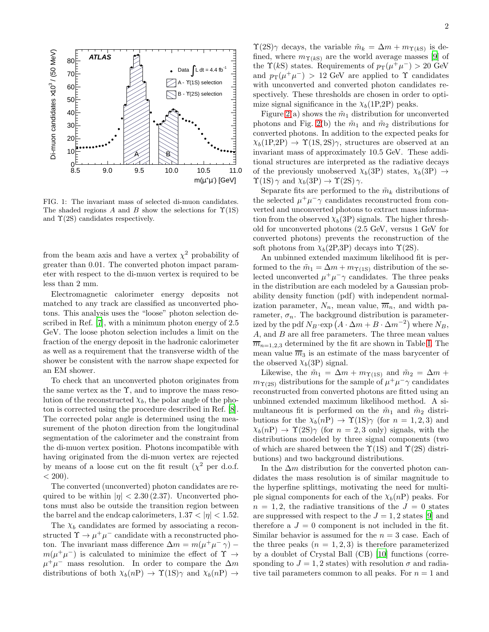

<span id="page-1-0"></span>FIG. 1: The invariant mass of selected di-muon candidates. The shaded regions A and B show the selections for  $\Upsilon(1S)$ and  $\Upsilon(2S)$  candidates respectively.

from the beam axis and have a vertex  $\chi^2$  probability of greater than 0.01. The converted photon impact parameter with respect to the di-muon vertex is required to be less than 2 mm.

Electromagnetic calorimeter energy deposits not matched to any track are classified as unconverted photons. This analysis uses the "loose" photon selection described in Ref. [\[7](#page-3-6)], with a minimum photon energy of 2.5 GeV. The loose photon selection includes a limit on the fraction of the energy deposit in the hadronic calorimeter as well as a requirement that the transverse width of the shower be consistent with the narrow shape expected for an EM shower.

To check that an unconverted photon originates from the same vertex as the  $\Upsilon$ , and to improve the mass resolution of the reconstructed  $\chi_b$ , the polar angle of the photon is corrected using the procedure described in Ref. [\[8\]](#page-3-7). The corrected polar angle is determined using the measurement of the photon direction from the longitudinal segmentation of the calorimeter and the constraint from the di-muon vertex position. Photons incompatible with having originated from the di-muon vertex are rejected by means of a loose cut on the fit result  $(\chi^2$  per d.o.f.  $< 200$ ).

The converted (unconverted) photon candidates are required to be within  $|\eta| < 2.30$  (2.37). Unconverted photons must also be outside the transition region between the barrel and the endcap calorimeters,  $1.37 < |\eta| < 1.52$ .

The  $\chi_b$  candidates are formed by associating a reconstructed  $\Upsilon \to \mu^+ \mu^-$  candidate with a reconstructed photon. The invariant mass difference  $\Delta m = m(\mu^+\mu^-\gamma)$  –  $m(\mu^+\mu^-)$  is calculated to minimize the effect of  $\Upsilon\to$  $\mu^+ \mu^-$  mass resolution. In order to compare the  $\Delta m$ distributions of both  $\chi_b(n) \to \Upsilon(1S) \gamma$  and  $\chi_b(n) \to \to$ 

 $\Upsilon(2S)\gamma$  decays, the variable  $\tilde{m}_k = \Delta m + m_{\Upsilon(kS)}$  is defined, where  $m_{\Upsilon(kS)}$  are the world average masses [\[9\]](#page-3-8) of the  $\Upsilon(kS)$  states. Requirements of  $p_T(\mu^+\mu^-) > 20 \text{ GeV}$ and  $p_T(\mu^+\mu^-) > 12$  GeV are applied to  $\Upsilon$  candidates with unconverted and converted photon candidates respectively. These thresholds are chosen in order to optimize signal significance in the  $\chi_b(1P,2P)$  peaks.

Figure [2\(](#page-3-9)a) shows the  $\tilde{m}_1$  distribution for unconverted photons and Fig. [2\(](#page-3-9)b) the  $\tilde{m}_1$  and  $\tilde{m}_2$  distributions for converted photons. In addition to the expected peaks for  $\chi_b(1P,2P) \to \Upsilon(1S,2S)\gamma$ , structures are observed at an invariant mass of approximately 10.5 GeV. These additional structures are interpreted as the radiative decays of the previously unobserved  $\chi_b(3P)$  states,  $\chi_b(3P) \rightarrow$  $\Upsilon(1S)$   $\gamma$  and  $\chi_b(3P) \rightarrow \Upsilon(2S)$   $\gamma$ .

Separate fits are performed to the  $\tilde{m}_k$  distributions of the selected  $\mu^+ \mu^- \gamma$  candidates reconstructed from converted and unconverted photons to extract mass information from the observed  $\chi_b(3P)$  signals. The higher threshold for unconverted photons (2.5 GeV, versus 1 GeV for converted photons) prevents the reconstruction of the soft photons from  $\chi_b(2P,3P)$  decays into  $\Upsilon(2S)$ .

An unbinned extended maximum likelihood fit is performed to the  $\tilde{m}_1 = \Delta m + m_{\Upsilon(1S)}$  distribution of the selected unconverted  $\mu^+\mu^-\gamma$  candidates. The three peaks in the distribution are each modeled by a Gaussian probability density function (pdf) with independent normalization parameter,  $N_n$ , mean value,  $\overline{m}_n$ , and width parameter,  $\sigma_n$ . The background distribution is parameterized by the pdf  $N_B \cdot \exp(A \cdot \Delta m + B \cdot \Delta m^{-2})$  where  $N_B$ , A, and B are all free parameters. The three mean values  $\overline{m}_{n=1,2,3}$  determined by the fit are shown in Table [I.](#page-2-0) The mean value  $\overline{m}_3$  is an estimate of the mass barycenter of the observed  $\chi_b(3P)$  signal.

Likewise, the  $\tilde{m}_1 = \Delta m + m_{\Upsilon(1S)}$  and  $\tilde{m}_2 = \Delta m +$  $m_{\Upsilon(2S)}$  distributions for the sample of  $\mu^+\mu^-\gamma$  candidates reconstructed from converted photons are fitted using an unbinned extended maximum likelihood method. A simultaneous fit is performed on the  $\tilde{m}_1$  and  $\tilde{m}_2$  distributions for the  $\chi_b(n) \to \Upsilon(1S) \gamma$  (for  $n = 1, 2, 3$ ) and  $\chi_b(n) \to \Upsilon(2S)$  (for  $n = 2, 3$  only) signals, with the distributions modeled by three signal components (two of which are shared between the  $\Upsilon(1S)$  and  $\Upsilon(2S)$  distributions) and two background distributions.

In the  $\Delta m$  distribution for the converted photon candidates the mass resolution is of similar magnitude to the hyperfine splittings, motivating the need for multiple signal components for each of the  $\chi_b(n)$  peaks. For  $n = 1, 2$ , the radiative transitions of the  $J = 0$  states are suppressed with respect to the  $J = 1, 2$  states [\[9](#page-3-8)] and therefore a  $J = 0$  component is not included in the fit. Similar behavior is assumed for the  $n = 3$  case. Each of the three peaks  $(n = 1, 2, 3)$  is therefore parameterized by a doublet of Crystal Ball (CB) [\[10](#page-3-10)] functions (corresponding to  $J = 1, 2$  states) with resolution  $\sigma$  and radiative tail parameters common to all peaks. For  $n = 1$  and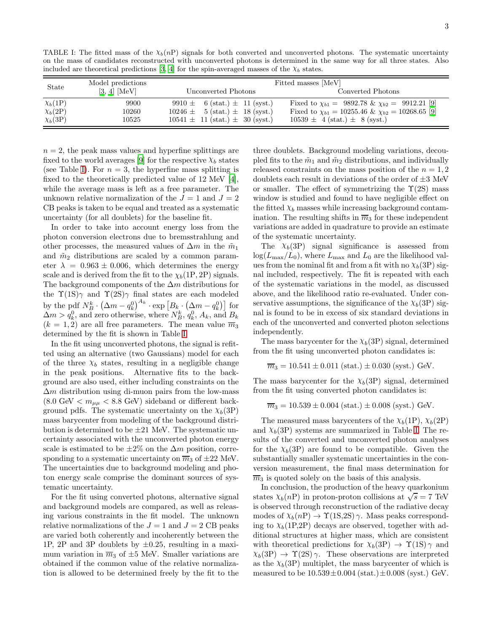<span id="page-2-0"></span>TABLE I: The fitted mass of the  $\chi_b(n)$  signals for both converted and unconverted photons. The systematic uncertainty on the mass of candidates reconstructed with unconverted photons is determined in the same way for all three states. Also included are theoretical predictions [\[3](#page-3-2), [4](#page-3-3)] for the spin-averaged masses of the  $\chi_b$  states.

| State              | Model predictions | Fitted masses [MeV]                     |                                                             |
|--------------------|-------------------|-----------------------------------------|-------------------------------------------------------------|
|                    | $[3, 4]$ [MeV]    | Unconverted Photons                     | Converted Photons                                           |
| $\chi_b(1{\rm P})$ | 9900              | 9910 $\pm$ 6 (stat.) $\pm$ 11 (syst.)   | Fixed to $\chi_{b1} = 9892.78 \& \chi_{b2} = 9912.21$ [9]   |
| $\chi_b(2P)$       | 10260             | $10246 \pm 5$ (stat.) $\pm$ 18 (syst.)  | Fixed to $\chi_{b1} = 10255.46 \& \chi_{b2} = 10268.65$ [9] |
| $\chi_b(3P)$       | 10525             | $10541 \pm 11$ (stat.) $\pm 30$ (syst.) | $10539 \pm 4 \text{ (stat.)} \pm 8 \text{ (syst.)}$         |

 $n = 2$ , the peak mass values and hyperfine splittings are fixed to the world averages [\[9\]](#page-3-8) for the respective  $\chi_b$  states (see Table [I\)](#page-2-0). For  $n = 3$ , the hyperfine mass splitting is fixed to the theoretically predicted value of 12 MeV [\[4\]](#page-3-3), while the average mass is left as a free parameter. The unknown relative normalization of the  $J = 1$  and  $J = 2$ CB peaks is taken to be equal and treated as a systematic uncertainty (for all doublets) for the baseline fit.

In order to take into account energy loss from the photon conversion electrons due to bremsstrahlung and other processes, the measured values of  $\Delta m$  in the  $\tilde{m}_1$ and  $\tilde{m}_2$  distributions are scaled by a common parameter  $\lambda = 0.963 \pm 0.006$ , which determines the energy scale and is derived from the fit to the  $\chi_b(1P, 2P)$  signals. The background components of the  $\Delta m$  distributions for the  $\Upsilon(1S)\gamma$  and  $\Upsilon(2S)\gamma$  final states are each modeled by the pdf  $N_B^k \cdot (\Delta m - q_k^0)^{A_k} \cdot \exp\left[B_k \cdot (\Delta m - q_k^0)\right]$  for  $\Delta m > q_k^0$ , and zero otherwise, where  $N_B^k$ ,  $q_k^0$ ,  $A_k$ , and  $B_k$  $(k = 1, 2)$  are all free parameters. The mean value  $\overline{m}_3$ determined by the fit is shown in Table [I.](#page-2-0)

In the fit using unconverted photons, the signal is refitted using an alternative (two Gaussians) model for each of the three  $\chi_b$  states, resulting in a negligible change in the peak positions. Alternative fits to the background are also used, either including constraints on the  $\Delta m$  distribution using di-muon pairs from the low-mass  $(8.0 \text{ GeV} < m_{\mu\mu} < 8.8 \text{ GeV})$  sideband or different background pdfs. The systematic uncertainty on the  $\chi_b(3P)$ mass barycenter from modeling of the background distribution is determined to be  $\pm 21$  MeV. The systematic uncertainty associated with the unconverted photon energy scale is estimated to be  $\pm 2\%$  on the  $\Delta m$  position, corresponding to a systematic uncertainty on  $\overline{m}_3$  of  $\pm 22$  MeV. The uncertainties due to background modeling and photon energy scale comprise the dominant sources of systematic uncertainty.

For the fit using converted photons, alternative signal and background models are compared, as well as releasing various constraints in the fit model. The unknown relative normalizations of the  $J = 1$  and  $J = 2$  CB peaks are varied both coherently and incoherently between the 1P, 2P and 3P doublets by  $\pm 0.25$ , resulting in a maximum variation in  $\overline{m}_3$  of  $\pm 5$  MeV. Smaller variations are obtained if the common value of the relative normalization is allowed to be determined freely by the fit to the

three doublets. Background modeling variations, decoupled fits to the  $\tilde{m}_1$  and  $\tilde{m}_2$  distributions, and individually released constraints on the mass position of the  $n = 1, 2$ doublets each result in deviations of the order of  $\pm 3$  MeV or smaller. The effect of symmetrizing the  $\Upsilon(2S)$  mass window is studied and found to have negligible effect on the fitted  $\chi_b$  masses while increasing background contamination. The resulting shifts in  $\overline{m}_3$  for these independent variations are added in quadrature to provide an estimate of the systematic uncertainty.

The  $\chi_b(3P)$  signal significance is assessed from  $log(L_{\text{max}}/L_0)$ , where  $L_{\text{max}}$  and  $L_0$  are the likelihood values from the nominal fit and from a fit with no  $\chi_b(3P)$  signal included, respectively. The fit is repeated with each of the systematic variations in the model, as discussed above, and the likelihood ratio re-evaluated. Under conservative assumptions, the significance of the  $\chi_b(3P)$  signal is found to be in excess of six standard deviations in each of the unconverted and converted photon selections independently.

The mass barycenter for the  $\chi_b(3P)$  signal, determined from the fit using unconverted photon candidates is:

$$
\overline{m}_3 = 10.541 \pm 0.011
$$
 (stat.)  $\pm 0.030$  (syst.) GeV.

The mass barycenter for the  $\chi_b(3P)$  signal, determined from the fit using converted photon candidates is:

 $\overline{m}_3 = 10.539 \pm 0.004$  (stat.)  $\pm 0.008$  (syst.) GeV.

The measured mass barycenters of the  $\chi_b(1P)$ ,  $\chi_b(2P)$ and  $\chi_b(3P)$  systems are summarized in Table [I.](#page-2-0) The results of the converted and unconverted photon analyses for the  $\chi_b(3P)$  are found to be compatible. Given the substantially smaller systematic uncertainties in the conversion measurement, the final mass determination for  $\overline{m}_3$  is quoted solely on the basis of this analysis.

In conclusion, the production of the heavy quarkonium states  $\chi_b(n)$  in proton-proton collisions at  $\sqrt{s} = 7$  TeV is observed through reconstruction of the radiative decay modes of  $\chi_b(n) \to \Upsilon(1S, 2S) \gamma$ . Mass peaks corresponding to  $\chi_b(1P,2P)$  decays are observed, together with additional structures at higher mass, which are consistent with theoretical predictions for  $\chi_b(3P) \to \Upsilon(1S) \gamma$  and  $\chi_b(3P) \rightarrow \Upsilon(2S) \gamma$ . These observations are interpreted as the  $\chi_b(3P)$  multiplet, the mass barycenter of which is measured to be  $10.539 \pm 0.004$  (stat.) $\pm 0.008$  (syst.) GeV.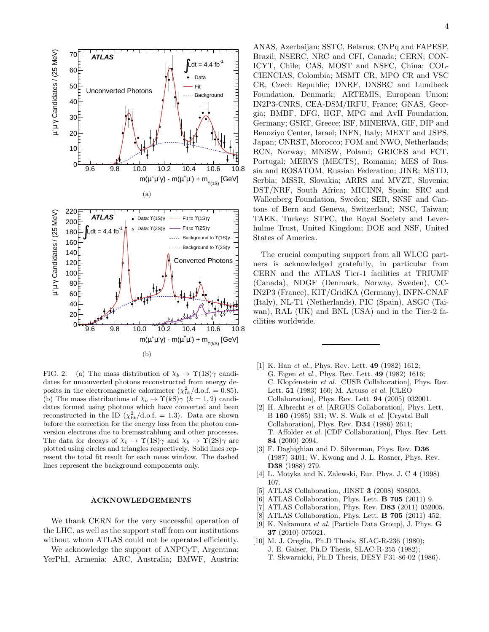

<span id="page-3-9"></span>FIG. 2: (a) The mass distribution of  $\chi_b \to \Upsilon(1S)\gamma$  candidates for unconverted photons reconstructed from energy deposits in the electromagnetic calorimeter  $(\chi^2_{\text{fit}}/d.o.f. = 0.85)$ . (b) The mass distributions of  $\chi_b \to \Upsilon(kS)\gamma$  ( $k = 1, 2$ ) candidates formed using photons which have converted and been reconstructed in the ID  $(\chi^2_{\text{fit}}/d.o.f. = 1.3)$ . Data are shown before the correction for the energy loss from the photon conversion electrons due to bremsstrahlung and other processes. The data for decays of  $\chi_b \to \Upsilon(1S)\gamma$  and  $\chi_b \to \Upsilon(2S)\gamma$  are plotted using circles and triangles respectively. Solid lines represent the total fit result for each mass window. The dashed lines represent the background components only.

## ACKNOWLEDGEMENTS

We thank CERN for the very successful operation of the LHC, as well as the support staff from our institutions without whom ATLAS could not be operated efficiently.

We acknowledge the support of ANPCyT, Argentina; YerPhI, Armenia; ARC, Australia; BMWF, Austria; 4

ANAS, Azerbaijan; SSTC, Belarus; CNPq and FAPESP, Brazil; NSERC, NRC and CFI, Canada; CERN; CON-ICYT, Chile; CAS, MOST and NSFC, China; COL-CIENCIAS, Colombia; MSMT CR, MPO CR and VSC CR, Czech Republic; DNRF, DNSRC and Lundbeck Foundation, Denmark; ARTEMIS, European Union; IN2P3-CNRS, CEA-DSM/IRFU, France; GNAS, Georgia; BMBF, DFG, HGF, MPG and AvH Foundation, Germany; GSRT, Greece; ISF, MINERVA, GIF, DIP and Benoziyo Center, Israel; INFN, Italy; MEXT and JSPS, Japan; CNRST, Morocco; FOM and NWO, Netherlands; RCN, Norway; MNiSW, Poland; GRICES and FCT, Portugal; MERYS (MECTS), Romania; MES of Russia and ROSATOM, Russian Federation; JINR; MSTD, Serbia; MSSR, Slovakia; ARRS and MVZT, Slovenia; DST/NRF, South Africa; MICINN, Spain; SRC and Wallenberg Foundation, Sweden; SER, SNSF and Cantons of Bern and Geneva, Switzerland; NSC, Taiwan; TAEK, Turkey; STFC, the Royal Society and Leverhulme Trust, United Kingdom; DOE and NSF, United States of America.

The crucial computing support from all WLCG partners is acknowledged gratefully, in particular from CERN and the ATLAS Tier-1 facilities at TRIUMF (Canada), NDGF (Denmark, Norway, Sweden), CC-IN2P3 (France), KIT/GridKA (Germany), INFN-CNAF (Italy), NL-T1 (Netherlands), PIC (Spain), ASGC (Taiwan), RAL (UK) and BNL (USA) and in the Tier-2 facilities worldwide.

- <span id="page-3-0"></span>[1] K. Han *et al.*, Phys. Rev. Lett. **49** (1982) 1612; G. Eigen et al., Phys. Rev. Lett. 49 (1982) 1616; C. Klopfenstein et al. [CUSB Collaboration], Phys. Rev. Lett. 51 (1983) 160; M. Artuso et al. [CLEO Collaboration], Phys. Rev. Lett. 94 (2005) 032001.
- <span id="page-3-1"></span>[2] H. Albrecht et al. [ARGUS Collaboration], Phys. Lett. B 160 (1985) 331; W. S. Walk et al. [Crystal Ball Collaboration], Phys. Rev. D34 (1986) 2611; T. Affolder et al. [CDF Collaboration], Phys. Rev. Lett. 84 (2000) 2094.
- <span id="page-3-2"></span>[3] F. Daghighian and D. Silverman, Phys. Rev. D36 (1987) 3401; W. Kwong and J. L. Rosner, Phys. Rev. D38 (1988) 279.
- <span id="page-3-3"></span>[4] L. Motyka and K. Zalewski, Eur. Phys. J. C 4 (1998) 107.
- <span id="page-3-4"></span>[5] ATLAS Collaboration, JINST 3 (2008) S08003.
- <span id="page-3-5"></span>[6] ATLAS Collaboration, Phys. Lett.  $\bf{B}$  **705** (2011) 9.
- <span id="page-3-6"></span>[7] ATLAS Collaboration, Phys. Rev. **D83** (2011) 052005.
- <span id="page-3-7"></span>[8] ATLAS Collaboration, Phys. Lett. **B 705** (2011) 452.
- <span id="page-3-8"></span>[9] K. Nakamura et al. [Particle Data Group], J. Phys. G 37 (2010) 075021.
- <span id="page-3-10"></span>[10] M. J. Oreglia, Ph.D Thesis, SLAC-R-236 (1980); J. E. Gaiser, Ph.D Thesis, SLAC-R-255 (1982); T. Skwarnicki, Ph.D Thesis, DESY F31-86-02 (1986).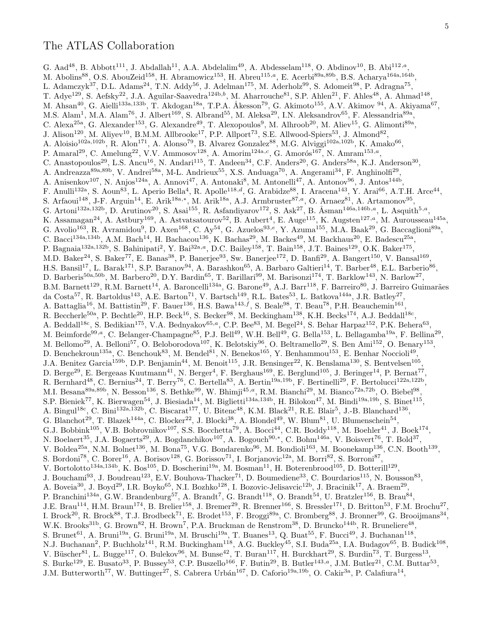## The ATLAS Collaboration

G. Aad<sup>48</sup>, B. Abbott<sup>111</sup>, J. Abdallah<sup>11</sup>, A.A. Abdelalim<sup>49</sup>, A. Abdesselam<sup>118</sup>, O. Abdinov<sup>10</sup>, B. Abi<sup>112,a</sup>, M. Abolins<sup>88</sup>, O.S. AbouZeid<sup>158</sup>, H. Abramowicz<sup>153</sup>, H. Abreu<sup>115,a</sup>, E. Acerbi<sup>89a,89b</sup>, B.S. Acharya<sup>164a,164b</sup>, L. Adamczyk<sup>37</sup>, D.L. Adams<sup>24</sup>, T.N. Addy<sup>56</sup>, J. Adelman<sup>175</sup>, M. Aderholz<sup>99</sup>, S. Adomeit<sup>98</sup>, P. Adragna<sup>75</sup>, T. Adye<sup>129</sup>, S. Aefsky<sup>22</sup>, J.A. Aguilar-Saavedra<sup>124b,b</sup>, M. Aharrouche<sup>81</sup>, S.P. Ahlen<sup>21</sup>, F. Ahles<sup>48</sup>, A. Ahmad<sup>148</sup> , M. Ahsan<sup>40</sup>, G. Aielli<sup>133a,133b</sup>, T. Akdogan<sup>18a</sup>, T.P.A. Åkesson<sup>79</sup>, G. Akimoto<sup>155</sup>, A.V. Akimov <sup>94</sup>, A. Akiyama<sup>67</sup>, M.S. Alam<sup>1</sup>, M.A. Alam<sup>76</sup>, J. Albert<sup>169</sup>, S. Albrand<sup>55</sup>, M. Aleksa<sup>29</sup>, I.N. Aleksandrov<sup>65</sup>, F. Alessandria<sup>89a</sup>, C. Alexa<sup>25a</sup>, G. Alexander<sup>153</sup>, G. Alexandre<sup>49</sup>, T. Alexopoulos<sup>9</sup>, M. Alhroob<sup>20</sup>, M. Aliev<sup>15</sup>, G. Alimonti<sup>89a</sup>, J. Alison<sup>120</sup>, M. Aliyev<sup>10</sup>, B.M.M. Allbrooke<sup>17</sup>, P.P. Allport<sup>73</sup>, S.E. Allwood-Spiers<sup>53</sup>, J. Almond<sup>82</sup>, A. Aloisio<sup>102a,102b</sup>, R. Alon<sup>171</sup>, A. Alonso<sup>79</sup>, B. Alvarez Gonzalez<sup>88</sup>, M.G. Alviggi<sup>102a,102b</sup>, K. Amako<sup>66</sup>, P. Amaral<sup>29</sup>, C. Amelung<sup>22</sup>, V.V. Ammosov<sup>128</sup>, A. Amorim<sup>124a,c</sup>, G. Amorós<sup>167</sup>, N. Amram<sup>153,a</sup>, C. Anastopoulos<sup>29</sup>, L.S. Ancu<sup>16</sup>, N. Andari<sup>115</sup>, T. Andeen<sup>34</sup>, C.F. Anders<sup>20</sup>, G. Anders<sup>58a</sup>, K.J. Anderson<sup>30</sup>, A. Andreazza<sup>89a,89b</sup>, V. Andrei<sup>58a</sup>, M-L. Andrieux<sup>55</sup>, X.S. Anduaga<sup>70</sup>, A. Angerami<sup>34</sup>, F. Anghinolfi<sup>29</sup>, A. Anisenkov<sup>107</sup>, N. Anjos<sup>124a</sup>, A. Annovi<sup>47</sup>, A. Antonaki<sup>8</sup>, M. Antonelli<sup>47</sup>, A. Antonov<sup>96</sup>, J. Antos<sup>144b</sup>, F. Anulli<sup>132a</sup>, S. Aoun<sup>83</sup>, L. Aperio Bella<sup>4</sup>, R. Apolle<sup>118,d</sup>, G. Arabidze<sup>88</sup>, I. Aracena<sup>143</sup>, Y. Arai<sup>66</sup>, A.T.H. Arce<sup>44</sup>, S. Arfaoui<sup>148</sup>, J-F. Arguin<sup>14</sup>, E. Arik<sup>18a,∗</sup>, M. Arik<sup>18a</sup>, A.J. Armbruster<sup>87,a</sup>, O. Arnaez<sup>81</sup>, A. Artamonov<sup>95</sup>, G. Artoni<sup>132a,132b</sup>, D. Arutinov<sup>20</sup>, S. Asai<sup>155</sup>, R. Asfandiyarov<sup>172</sup>, S. Ask<sup>27</sup>, B. Åsman<sup>146a,146b,a</sup>, L. Asquith<sup>5,a</sup>, K. Assamagan<sup>24</sup>, A. Astbury<sup>169</sup>, A. Astvatsatourov<sup>52</sup>, B. Aubert<sup>4</sup>, E. Auge<sup>115</sup>, K. Augsten<sup>127,a</sup>, M. Aurousseau<sup>145a</sup>, G. Avolio<sup>163</sup>, R. Avramidou<sup>9</sup>, D. Axen<sup>168</sup>, C. Ay<sup>54</sup>, G. Azuelos<sup>93,e</sup>, Y. Azuma<sup>155</sup>, M.A. Baak<sup>29</sup>, G. Baccaglioni<sup>89a</sup>, C. Bacci<sup>134a,134b</sup>, A.M. Bach<sup>14</sup>, H. Bachacou<sup>136</sup>, K. Bachas<sup>29</sup>, M. Backes<sup>49</sup>, M. Backhaus<sup>20</sup>, E. Badescu<sup>25a</sup>, P. Bagnaia<sup>132a,132b</sup>, S. Bahinipati<sup>2</sup>, Y. Bai<sup>32a,a</sup>, D.C. Bailey<sup>158</sup>, T. Bain<sup>158</sup>, J.T. Baines<sup>129</sup>, O.K. Baker<sup>175</sup>, M.D. Baker<sup>24</sup>, S. Baker<sup>77</sup>, E. Banas<sup>38</sup>, P. Banerjee<sup>93</sup>, Sw. Banerjee<sup>172</sup>, D. Banfi<sup>29</sup>, A. Bangert<sup>150</sup>, V. Bansal<sup>169</sup>, H.S. Bansil<sup>17</sup>, L. Barak<sup>171</sup>, S.P. Baranov<sup>94</sup>, A. Barashkou<sup>65</sup>, A. Barbaro Galtieri<sup>14</sup>, T. Barber<sup>48</sup>, E.L. Barberio<sup>86</sup>, D. Barberis<sup>50a,50b</sup>, M. Barbero<sup>20</sup>, D.Y. Bardin<sup>65</sup>, T. Barillari<sup>99</sup>, M. Barisonzi<sup>174</sup>, T. Barklow<sup>143</sup>, N. Barlow<sup>27</sup>, B.M. Barnett<sup>129</sup>, R.M. Barnett<sup>14</sup>, A. Baroncelli<sup>134a</sup>, G. Barone<sup>49</sup>, A.J. Barr<sup>118</sup>, F. Barreiro<sup>80</sup>, J. Barreiro Guimarães da Costa<sup>57</sup>, R. Bartoldus<sup>143</sup>, A.E. Barton<sup>71</sup>, V. Bartsch<sup>149</sup>, R.L. Bates<sup>53</sup>, L. Batkova<sup>144a</sup>, J.R. Batley<sup>27</sup>, A. Battaglia<sup>16</sup>, M. Battistin<sup>29</sup>, F. Bauer<sup>136</sup>, H.S. Bawa<sup>143,f</sup>, S. Beale<sup>98</sup>, T. Beau<sup>78</sup>, P.H. Beauchemin<sup>161</sup>, R. Beccherle<sup>50a</sup>, P. Bechtle<sup>20</sup>, H.P. Beck<sup>16</sup>, S. Becker<sup>98</sup>, M. Beckingham<sup>138</sup>, K.H. Becks<sup>174</sup>, A.J. Beddall<sup>18c</sup>, A. Beddall<sup>18c</sup>, S. Bedikian<sup>175</sup>, V.A. Bednyakov<sup>65,a</sup>, C.P. Bee<sup>83</sup>, M. Begel<sup>24</sup>, S. Behar Harpaz<sup>152</sup>, P.K. Behera<sup>63</sup>, M. Beimforde<sup>99,a</sup>, C. Belanger-Champagne<sup>85</sup>, P.J. Bell<sup>49</sup>, W.H. Bell<sup>49</sup>, G. Bella<sup>153</sup>, L. Bellagamba<sup>19a</sup>, F. Bellina<sup>29</sup>, M. Bellomo<sup>29</sup>, A. Belloni<sup>57</sup>, O. Beloborodova<sup>107</sup>, K. Belotskiy<sup>96</sup>, O. Beltramello<sup>29</sup>, S. Ben Ami<sup>152</sup>, O. Benary<sup>153</sup>, D. Benchekroun<sup>135a</sup>, C. Benchouk<sup>83</sup>, M. Bendel<sup>81</sup>, N. Benekos<sup>165</sup>, Y. Benhammou<sup>153</sup>, E. Benhar Noccioli<sup>49</sup>, J.A. Benitez Garcia<sup>159b</sup>, D.P. Benjamin<sup>44</sup>, M. Benoit<sup>115</sup>, J.R. Bensinger<sup>22</sup>, K. Benslama<sup>130</sup>, S. Bentvelsen<sup>105</sup>, D. Berge<sup>29</sup>, E. Bergeaas Kuutmann<sup>41</sup>, N. Berger<sup>4</sup>, F. Berghaus<sup>169</sup>, E. Berglund<sup>105</sup>, J. Beringer<sup>14</sup>, P. Bernat<sup>77</sup>, R. Bernhard<sup>48</sup>, C. Bernius<sup>24</sup>, T. Berry<sup>76</sup>, C. Bertella<sup>83</sup>, A. Bertin<sup>19a,19b</sup>, F. Bertinelli<sup>29</sup>, F. Bertolucci<sup>122a,122b</sup>, M.I. Besana<sup>89a,89b</sup>, N. Besson<sup>136</sup>, S. Bethke<sup>99</sup>, W. Bhimji<sup>45,a</sup>, R.M. Bianchi<sup>29</sup>, M. Bianco<sup>72a,72b</sup>, O. Biebel<sup>98</sup>, S.P. Bieniek<sup>77</sup>, K. Bierwagen<sup>54</sup>, J. Biesiada<sup>14</sup>, M. Biglietti<sup>134a,134b</sup>, H. Bilokon<sup>47</sup>, M. Bindi<sup>19a,19b</sup>, S. Binet<sup>115</sup>, A. Bingul<sup>18c</sup>, C. Bini<sup>132a,132b</sup>, C. Biscarat<sup>177</sup>, U. Bitenc<sup>48</sup>, K.M. Black<sup>21</sup>, R.E. Blair<sup>5</sup>, J.-B. Blanchard<sup>136</sup>, G. Blanchot<sup>29</sup>, T. Blazek<sup>144a</sup>, C. Blocker<sup>22</sup>, J. Blocki<sup>38</sup>, A. Blondel<sup>49</sup>, W. Blum<sup>81</sup>, U. Blumenschein<sup>54</sup>, G.J. Bobbink<sup>105</sup>, V.B. Bobrovnikov<sup>107</sup>, S.S. Bocchetta<sup>79</sup>, A. Bocci<sup>44</sup>, C.R. Boddy<sup>118</sup>, M. Boehler<sup>41</sup>, J. Boek<sup>174</sup>, N. Boelaert<sup>35</sup>, J.A. Bogaerts<sup>29</sup>, A. Bogdanchikov<sup>107</sup>, A. Bogouch<sup>90,∗</sup>, C. Bohm<sup>146a</sup>, V. Boisvert<sup>76</sup>, T. Bold<sup>37</sup>, V. Boldea<sup>25a</sup>, N.M. Bolnet<sup>136</sup>, M. Bona<sup>75</sup>, V.G. Bondarenko<sup>96</sup>, M. Bondioli<sup>163</sup>, M. Boonekamp<sup>136</sup>, C.N. Booth<sup>139</sup>, S. Bordoni<sup>78</sup>, C. Borer<sup>16</sup>, A. Borisov<sup>128</sup>, G. Borissov<sup>71</sup>, I. Borjanovic<sup>12a</sup>, M. Borri<sup>82</sup>, S. Borroni<sup>87</sup>, V. Bortolotto<sup>134a,134b</sup>, K. Bos<sup>105</sup>, D. Boscherini<sup>19a</sup>, M. Bosman<sup>11</sup>, H. Boterenbrood<sup>105</sup>, D. Botterill<sup>129</sup>, J. Bouchami<sup>93</sup>, J. Boudreau<sup>123</sup>, E.V. Bouhova-Thacker<sup>71</sup>, D. Boumediene<sup>33</sup>, C. Bourdarios<sup>115</sup>, N. Bousson<sup>83</sup>, A. Boveia<sup>30</sup>, J. Boyd<sup>29</sup>, I.R. Boyko<sup>65</sup>, N.I. Bozhko<sup>128</sup>, I. Bozovic-Jelisavcic<sup>12b</sup>, J. Bracinik<sup>17</sup>, A. Braem<sup>29</sup>, P. Branchini<sup>134a</sup>, G.W. Brandenburg<sup>57</sup>, A. Brandt<sup>7</sup>, G. Brandt<sup>118</sup>, O. Brandt<sup>54</sup>, U. Bratzler<sup>156</sup>, B. Brau<sup>84</sup>, J.E. Brau<sup>114</sup>, H.M. Braun<sup>174</sup>, B. Brelier<sup>158</sup>, J. Bremer<sup>29</sup>, R. Brenner<sup>166</sup>, S. Bressler<sup>171</sup>, D. Britton<sup>53</sup>, F.M. Brochu<sup>27</sup>, I. Brock<sup>20</sup>, R. Brock<sup>88</sup>, T.J. Brodbeck<sup>71</sup>, E. Brodet<sup>153</sup>, F. Broggi<sup>89a</sup>, C. Bromberg<sup>88</sup>, J. Bronner<sup>99</sup>, G. Brooijmans<sup>34</sup>, W.K. Brooks<sup>31b</sup>, G. Brown<sup>82</sup>, H. Brown<sup>7</sup>, P.A. Bruckman de Renstrom<sup>38</sup>, D. Bruncko<sup>144b</sup>, R. Bruneliere<sup>48</sup>, S. Brunet<sup>61</sup>, A. Bruni<sup>19a</sup>, G. Bruni<sup>19a</sup>, M. Bruschi<sup>19a</sup>, T. Buanes<sup>13</sup>, Q. Buat<sup>55</sup>, F. Bucci<sup>49</sup>, J. Buchanan<sup>118</sup>, N.J. Buchanan<sup>2</sup>, P. Buchholz<sup>141</sup>, R.M. Buckingham<sup>118</sup>, A.G. Buckley<sup>45</sup>, S.I. Buda<sup>25a</sup>, I.A. Budagov<sup>65</sup>, B. Budick<sup>108</sup>, V. Büscher<sup>81</sup>, L. Bugge<sup>117</sup>, O. Bulekov<sup>96</sup>, M. Bunse<sup>42</sup>, T. Buran<sup>117</sup>, H. Burckhart<sup>29</sup>, S. Burdin<sup>73</sup>, T. Burgess<sup>13</sup>, S. Burke<sup>129</sup>, E. Busato<sup>33</sup>, P. Bussey<sup>53</sup>, C.P. Buszello<sup>166</sup>, F. Butin<sup>29</sup>, B. Butler<sup>143,a</sup>, J.M. Butler<sup>21</sup>, C.M. Buttar<sup>53</sup>, J.M. Butterworth<sup>77</sup>, W. Buttinger<sup>27</sup>, S. Cabrera Urbán<sup>167</sup>, D. Caforio<sup>19a,19b</sup>, O. Cakir<sup>3a</sup>, P. Calafiura<sup>14</sup>,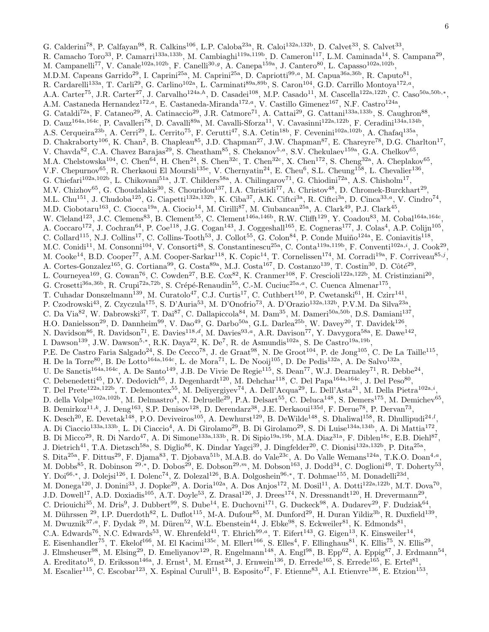G. Calderini<sup>78</sup>, P. Calfayan<sup>98</sup>, R. Calkins<sup>106</sup>, L.P. Caloba<sup>23a</sup>, R. Caloi<sup>132a,132b</sup>, D. Calvet<sup>33</sup>, S. Calvet<sup>33</sup>, R. Camacho Toro<sup>33</sup>, P. Camarri<sup>133a,133b</sup>, M. Cambiaghi<sup>119a,119b</sup>, D. Cameron<sup>117</sup>, L.M. Caminada<sup>14</sup>, S. Campana<sup>29</sup>, M. Campanelli<sup>77</sup>, V. Canale<sup>102a,102b</sup>, F. Canelli<sup>30,g</sup>, A. Canepa<sup>159a</sup>, J. Cantero<sup>80</sup>, L. Capasso<sup>102a,102b</sup>, M.D.M. Capeans Garrido<sup>29</sup>, I. Caprini<sup>25a</sup>, M. Caprini<sup>25a</sup>, D. Capriotti<sup>99,a</sup>, M. Capua<sup>36a,36b</sup>, R. Caputo<sup>81</sup>, R. Cardarelli<sup>133a</sup>, T. Carli<sup>29</sup>, G. Carlino<sup>102a</sup>, L. Carminati<sup>89a,89b</sup>, S. Caron<sup>104</sup>, G.D. Carrillo Montoya<sup>172,a</sup>, A.A. Carter<sup>75</sup>, J.R. Carter<sup>27</sup>, J. Carvalho<sup>124a,h</sup>, D. Casadei<sup>108</sup>, M.P. Casado<sup>11</sup>, M. Cascella<sup>122a,122b</sup>, C. Caso<sup>50a,50b,\*</sup>, A.M. Castaneda Hernandez<sup>172,a</sup>, E. Castaneda-Miranda<sup>172,a</sup>, V. Castillo Gimenez<sup>167</sup>, N.F. Castro<sup>124a</sup>, G. Cataldi<sup>72a</sup>, F. Cataneo<sup>29</sup>, A. Catinaccio<sup>29</sup>, J.R. Catmore<sup>71</sup>, A. Cattai<sup>29</sup>, G. Cattani<sup>133a,133b</sup>, S. Caughron<sup>88</sup>, D. Cauz<sup>164a,164c</sup>, P. Cavalleri<sup>78</sup>, D. Cavalli<sup>89a</sup>, M. Cavalli-Sforza<sup>11</sup>, V. Cavasinni<sup>122a,122b</sup>, F. Ceradini<sup>134a,134b</sup>, A.S. Cerqueira<sup>23b</sup>, A. Cerri<sup>29</sup>, L. Cerrito<sup>75</sup>, F. Cerutti<sup>47</sup>, S.A. Cetin<sup>18b</sup>, F. Cevenini<sup>102a,102b</sup>, A. Chafaq<sup>135a</sup>, D. Chakraborty<sup>106</sup>, K. Chan<sup>2</sup>, B. Chapleau<sup>85</sup>, J.D. Chapman<sup>27</sup>, J.W. Chapman<sup>87</sup>, E. Chareyre<sup>78</sup>, D.G. Charlton<sup>17</sup>, V. Chavda<sup>82</sup>, C.A. Chavez Barajas<sup>29</sup>, S. Cheatham<sup>85</sup>, S. Chekanov<sup>5,a</sup>, S.V. Chekulaev<sup>159a</sup>, G.A. Chelkov<sup>65</sup>, M.A. Chelstowska<sup>104</sup>, C. Chen<sup>64</sup>, H. Chen<sup>24</sup>, S. Chen<sup>32c</sup>, T. Chen<sup>32c</sup>, X. Chen<sup>172</sup>, S. Cheng<sup>32a</sup>, A. Cheplakov<sup>65</sup>, V.F. Chepurnov<sup>65</sup>, R. Cherkaoui El Moursli<sup>135e</sup>, V. Chernyatin<sup>24</sup>, E. Cheu<sup>6</sup>, S.L. Cheung<sup>158</sup>, L. Chevalier<sup>136</sup>, G. Chiefari<sup>102a,102b</sup>, L. Chikovani<sup>51a</sup>, J.T. Childers<sup>58a</sup>, A. Chilingarov<sup>71</sup>, G. Chiodini<sup>72a</sup>, A.S. Chisholm<sup>17</sup>, M.V. Chizhov<sup>65</sup>, G. Choudalakis<sup>30</sup>, S. Chouridou<sup>137</sup>, I.A. Christidi<sup>77</sup>, A. Christov<sup>48</sup>, D. Chromek-Burckhart<sup>29</sup>, M.L. Chu<sup>151</sup>, J. Chudoba<sup>125</sup>, G. Ciapetti<sup>132a,132b</sup>, K. Ciba<sup>37</sup>, A.K. Ciftci<sup>3a</sup>, R. Ciftci<sup>3a</sup>, D. Cinca<sup>33,a</sup>, V. Cindro<sup>74</sup>, M.D. Ciobotaru<sup>163</sup>, C. Ciocca<sup>19a</sup>, A. Ciocio<sup>14</sup>, M. Cirilli<sup>87</sup>, M. Ciubancan<sup>25a</sup>, A. Clark<sup>49</sup>, P.J. Clark<sup>45</sup>, W. Cleland<sup>123</sup>, J.C. Clemens<sup>83</sup>, B. Clement<sup>55</sup>, C. Clement<sup>146a,146b</sup>, R.W. Clifft<sup>129</sup>, Y. Coadou<sup>83</sup>, M. Cobal<sup>164a,164c</sup>, A. Coccaro<sup>172</sup>, J. Cochran<sup>64</sup>, P. Coe<sup>118</sup>, J.G. Cogan<sup>143</sup>, J. Coggeshall<sup>165</sup>, E. Cogneras<sup>177</sup>, J. Colas<sup>4</sup>, A.P. Colijn<sup>105</sup>, C. Collard<sup>115</sup>, N.J. Collins<sup>17</sup>, C. Collins-Tooth<sup>53</sup>, J. Collot<sup>55</sup>, G. Colon<sup>84</sup>, P. Conde Muiño<sup>124a</sup>, E. Coniavitis<sup>118</sup>, M.C. Conidi<sup>11</sup>, M. Consonni<sup>104</sup>, V. Consorti<sup>48</sup>, S. Constantinescu<sup>25a</sup>, C. Conta<sup>119a,119b</sup>, F. Conventi<sup>102a,i</sup>, J. Cook<sup>29</sup>, M. Cooke<sup>14</sup>, B.D. Cooper<sup>77</sup>, A.M. Cooper-Sarkar<sup>118</sup>, K. Copic<sup>14</sup>, T. Cornelissen<sup>174</sup>, M. Corradi<sup>19a</sup>, F. Corriveau<sup>85,j</sup>, A. Cortes-Gonzalez<sup>165</sup>, G. Cortiana<sup>99</sup>, G. Costa<sup>89a</sup>, M.J. Costa<sup>167</sup>, D. Costanzo<sup>139</sup>, T. Costin<sup>30</sup>, D. Côté<sup>29</sup>, L. Courneyea<sup>169</sup>, G. Cowan<sup>76</sup>, C. Cowden<sup>27</sup>, B.E. Cox<sup>82</sup>, K. Cranmer<sup>108</sup>, F. Crescioli<sup>122a,122b</sup>, M. Cristinziani<sup>20</sup>, G. Crosetti<sup>36a,36b</sup>, R. Crupi<sup>72a,72b</sup>, S. Crépé-Renaudin<sup>55</sup>, C.-M. Cuciuc<sup>25a,a</sup>, C. Cuenca Almenar<sup>175</sup>, T. Cuhadar Donszelmann<sup>139</sup>, M. Curatolo<sup>47</sup>, C.J. Curtis<sup>17</sup>, C. Cuthbert<sup>150</sup>, P. Cwetanski<sup>61</sup>, H. Czirr<sup>141</sup>, P. Czodrowski<sup>43</sup>, Z. Czyczula<sup>175</sup>, S. D'Auria<sup>53</sup>, M. D'Onofrio<sup>73</sup>, A. D'Orazio<sup>132a,132b</sup>, P.V.M. Da Silva<sup>23a</sup>, C. Da Via<sup>82</sup>, W. Dabrowski<sup>37</sup>, T. Dai<sup>87</sup>, C. Dallapiccola<sup>84</sup>, M. Dam<sup>35</sup>, M. Dameri<sup>50a,50b</sup>, D.S. Damiani<sup>137</sup>, H.O. Danielsson<sup>29</sup>, D. Dannheim<sup>99</sup>, V. Dao<sup>49</sup>, G. Darbo<sup>50a</sup>, G.L. Darlea<sup>25b</sup>, W. Davey<sup>20</sup>, T. Davidek<sup>126</sup>, N. Davidson<sup>86</sup>, R. Davidson<sup>71</sup>, E. Davies<sup>118,d</sup>, M. Davies<sup>93,a</sup>, A.R. Davison<sup>77</sup>, Y. Davygora<sup>58a</sup>, E. Dawe<sup>142</sup>, I. Dawson<sup>139</sup>, J.W. Dawson<sup>5,\*</sup>, R.K. Daya<sup>22</sup>, K. De<sup>7</sup>, R. de Asmundis<sup>102a</sup>, S. De Castro<sup>19a,19b</sup>, P.E. De Castro Faria Salgado<sup>24</sup>, S. De Cecco<sup>78</sup>, J. de Graat<sup>98</sup>, N. De Groot<sup>104</sup>, P. de Jong<sup>105</sup>, C. De La Taille<sup>115</sup>, H. De la Torre<sup>80</sup>, B. De Lotto<sup>164a,164c</sup>, L. de Mora<sup>71</sup>, L. De Nooij<sup>105</sup>, D. De Pedis<sup>132a</sup>, A. De Salvo<sup>132a</sup>, U. De Sanctis<sup>164a,164c</sup>, A. De Santo<sup>149</sup>, J.B. De Vivie De Regie<sup>115</sup>, S. Dean<sup>77</sup>, W.J. Dearnaley<sup>71</sup>, R. Debbe<sup>24</sup>, C. Debenedetti<sup>45</sup>, D.V. Dedovich<sup>65</sup>, J. Degenhardt<sup>120</sup>, M. Dehchar<sup>118</sup>, C. Del Papa<sup>164a,164c</sup>, J. Del Peso<sup>80</sup>, T. Del Prete<sup>122a,122b</sup>, T. Delemontex<sup>55</sup>, M. Deliyergiyev<sup>74</sup>, A. Dell'Acqua<sup>29</sup>, L. Dell'Asta<sup>21</sup>, M. Della Pietra<sup>102a,*i*</sup>, D. della Volpe<sup>102a,102b</sup>, M. Delmastro<sup>4</sup>, N. Delruelle<sup>29</sup>, P.A. Delsart<sup>55</sup>, C. Deluca<sup>148</sup>, S. Demers<sup>175</sup>, M. Demichev<sup>65</sup>, B. Demirkoz<sup>11,k</sup>, J. Deng<sup>163</sup>, S.P. Denisov<sup>128</sup>, D. Derendarz<sup>38</sup>, J.E. Derkaoui<sup>135d</sup>, F. Derue<sup>78</sup>, P. Dervan<sup>73</sup>, K. Desch<sup>20</sup>, E. Devetak<sup>148</sup>, P.O. Deviveiros<sup>105</sup>, A. Dewhurst<sup>129</sup>, B. DeWilde<sup>148</sup>, S. Dhaliwal<sup>158</sup>, R. Dhullipudi<sup>24,*l*</sup>, A. Di Ciaccio<sup>133a,133b</sup>, L. Di Ciaccio<sup>4</sup>, A. Di Girolamo<sup>29</sup>, B. Di Girolamo<sup>29</sup>, S. Di Luise<sup>134a,134b</sup>, A. Di Mattia<sup>172</sup>, B. Di Micco<sup>29</sup>, R. Di Nardo<sup>47</sup>, A. Di Simone<sup>133a,133b</sup>, R. Di Sipio<sup>19a,19b</sup>, M.A. Diaz<sup>31a</sup>, F. Diblen<sup>18c</sup>, E.B. Diehl<sup>87</sup>, J. Dietrich<sup>41</sup>, T.A. Dietzsch<sup>58a</sup>, S. Diglio<sup>86</sup>, K. Dindar Yagci<sup>39</sup>, J. Dingfelder<sup>20</sup>, C. Dionisi<sup>132a,132b</sup>, P. Dita<sup>25a</sup>, S. Dita<sup>25a</sup>, F. Dittus<sup>29</sup>, F. Djama<sup>83</sup>, T. Djobava<sup>51b</sup>, M.A.B. do Vale<sup>23c</sup>, A. Do Valle Wemans<sup>124a</sup>, T.K.O. Doan<sup>4,a</sup>, M. Dobbs<sup>85</sup>, R. Dobinson <sup>29,\*</sup>, D. Dobos<sup>29</sup>, E. Dobson<sup>29,*m*</sup>, M. Dobson<sup>163</sup>, J. Dodd<sup>34</sup>, C. Doglioni<sup>49</sup>, T. Doherty<sup>53</sup>, Y. Doi<sup>66,∗</sup>, J. Dolejsi<sup>126</sup>, I. Dolenc<sup>74</sup>, Z. Dolezal<sup>126</sup>, B.A. Dolgoshein<sup>96,∗</sup>, T. Dohmae<sup>155</sup>, M. Donadelli<sup>23d</sup>, M. Donega<sup>120</sup>, J. Donini<sup>33</sup>, J. Dopke<sup>29</sup>, A. Doria<sup>102a</sup>, A. Dos Anjos<sup>172</sup>, M. Dosil<sup>11</sup>, A. Dotti<sup>122a,122b</sup>, M.T. Dova<sup>70</sup>, J.D. Dowell<sup>17</sup>, A.D. Doxiadis<sup>105</sup>, A.T. Doyle<sup>53</sup>, Z. Drasal<sup>126</sup>, J. Drees<sup>174</sup>, N. Dressnandt<sup>120</sup>, H. Drevermann<sup>29</sup>, C. Driouichi<sup>35</sup>, M. Dris<sup>9</sup>, J. Dubbert<sup>99</sup>, S. Dube<sup>14</sup>, E. Duchovni<sup>171</sup>, G. Duckeck<sup>98</sup>, A. Dudarev<sup>29</sup>, F. Dudziak<sup>64</sup>, M. Dührssen <sup>29</sup>, I.P. Duerdoth<sup>82</sup>, L. Duflot<sup>115</sup>, M-A. Dufour<sup>85</sup>, M. Dunford<sup>29</sup>, H. Duran Yildiz<sup>3b</sup>, R. Duxfield<sup>139</sup>, M. Dwuznik<sup>37,a</sup>, F. Dydak <sup>29</sup>, M. Düren<sup>52</sup>, W.L. Ebenstein<sup>44</sup>, J. Ebke<sup>98</sup>, S. Eckweiler<sup>81</sup>, K. Edmonds<sup>81</sup>, C.A. Edwards<sup>76</sup>, N.C. Edwards<sup>53</sup>, W. Ehrenfeld<sup>41</sup>, T. Ehrich<sup>99,a</sup>, T. Eifert<sup>143</sup>, G. Eigen<sup>13</sup>, K. Einsweiler<sup>14</sup>, E. Eisenhandler<sup>75</sup>, T. Ekelof<sup>166</sup>, M. El Kacimi<sup>135c</sup>, M. Ellert<sup>166</sup>, S. Elles<sup>4</sup>, F. Ellinghaus<sup>81</sup>, K. Ellis<sup>75</sup>, N. Ellis<sup>29</sup>, J. Elmsheuser<sup>98</sup>, M. Elsing<sup>29</sup>, D. Emeliyanov<sup>129</sup>, R. Engelmann<sup>148</sup>, A. Engl<sup>98</sup>, B. Epp<sup>62</sup>, A. Eppig<sup>87</sup>, J. Erdmann<sup>54</sup>, A. Ereditato<sup>16</sup>, D. Eriksson<sup>146a</sup>, J. Ernst<sup>1</sup>, M. Ernst<sup>24</sup>, J. Ernwein<sup>136</sup>, D. Errede<sup>165</sup>, S. Errede<sup>165</sup>, E. Ertel<sup>81</sup>, M. Escalier<sup>115</sup>, C. Escobar<sup>123</sup>, X. Espinal Curull<sup>11</sup>, B. Esposito<sup>47</sup>, F. Etienne<sup>83</sup>, A.I. Etienvre<sup>136</sup>, E. Etzion<sup>153</sup>,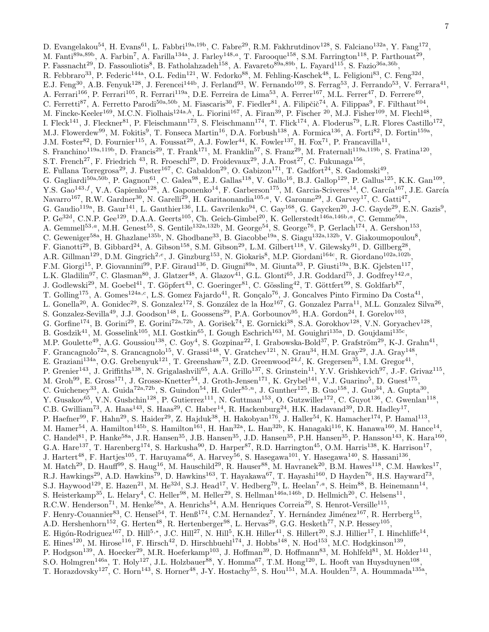D. Evangelakou<sup>54</sup>, H. Evans<sup>61</sup>, L. Fabbri<sup>19a,19b</sup>, C. Fabre<sup>29</sup>, R.M. Fakhrutdinov<sup>128</sup>, S. Falciano<sup>132a</sup>, Y. Fang<sup>172</sup>, M. Fanti<sup>89a,89b</sup>, A. Farbin<sup>7</sup>, A. Farilla<sup>134a</sup>, J. Farley<sup>148,a</sup>, T. Farooque<sup>158</sup>, S.M. Farrington<sup>118</sup>, P. Farthouat<sup>29</sup>, P. Fassnacht<sup>29</sup>, D. Fassouliotis<sup>8</sup>, B. Fatholahzadeh<sup>158</sup>, A. Favareto<sup>89a,89b</sup>, L. Fayard<sup>115</sup>, S. Fazio<sup>36a,36b</sup>, R. Febbraro<sup>33</sup>, P. Federic<sup>144a</sup>, O.L. Fedin<sup>121</sup>, W. Fedorko<sup>88</sup>, M. Fehling-Kaschek<sup>48</sup>, L. Feligioni<sup>83</sup>, C. Feng<sup>32d</sup>, E.J. Feng<sup>30</sup>, A.B. Fenyuk<sup>128</sup>, J. Ferencei<sup>144b</sup>, J. Ferland<sup>93</sup>, W. Fernando<sup>109</sup>, S. Ferrag<sup>53</sup>, J. Ferrando<sup>53</sup>, V. Ferrara<sup>41</sup>, A. Ferrari<sup>166</sup>, P. Ferrari<sup>105</sup>, R. Ferrari<sup>119a</sup>, D.E. Ferreira de Lima<sup>53</sup>, A. Ferrer<sup>167</sup>, M.L. Ferrer<sup>47</sup>, D. Ferrere<sup>49</sup>, C. Ferretti<sup>87</sup>, A. Ferretto Parodi<sup>50a,50b</sup>, M. Fiascaris<sup>30</sup>, F. Fiedler<sup>81</sup>, A. Filipčič<sup>74</sup>, A. Filippas<sup>9</sup>, F. Filthaut<sup>104</sup>, M. Fincke-Keeler<sup>169</sup>, M.C.N. Fiolhais<sup>124a,h</sup>, L. Fiorini<sup>167</sup>, A. Firan<sup>39</sup>, P. Fischer <sup>20</sup>, M.J. Fisher<sup>109</sup>, M. Flechl<sup>48</sup>, I. Fleck<sup>141</sup>, J. Fleckner<sup>81</sup>, P. Fleischmann<sup>173</sup>, S. Fleischmann<sup>174</sup>, T. Flick<sup>174</sup>, A. Floderus<sup>79</sup>, L.R. Flores Castillo<sup>172</sup>, M.J. Flowerdew<sup>99</sup>, M. Fokitis<sup>9</sup>, T. Fonseca Martin<sup>16</sup>, D.A. Forbush<sup>138</sup>, A. Formica<sup>136</sup>, A. Forti<sup>82</sup>, D. Fortin<sup>159a</sup>, J.M. Foster<sup>82</sup>, D. Fournier<sup>115</sup>, A. Foussat<sup>29</sup>, A.J. Fowler<sup>44</sup>, K. Fowler<sup>137</sup>, H. Fox<sup>71</sup>, P. Francavilla<sup>11</sup>, S. Franchino<sup>119a,119b</sup>, D. Francis<sup>29</sup>, T. Frank<sup>171</sup>, M. Franklin<sup>57</sup>, S. Franz<sup>29</sup>, M. Fraternali<sup>119a,119b</sup>, S. Fratina<sup>120</sup>, S.T. French<sup>27</sup>, F. Friedrich <sup>43</sup>, R. Froeschl<sup>29</sup>, D. Froidevaux<sup>29</sup>, J.A. Frost<sup>27</sup>, C. Fukunaga<sup>156</sup>, E. Fullana Torregrosa<sup>29</sup>, J. Fuster<sup>167</sup>, C. Gabaldon<sup>29</sup>, O. Gabizon<sup>171</sup>, T. Gadfort<sup>24</sup>, S. Gadomski<sup>49</sup>, G. Gagliardi<sup>50a,50b</sup>, P. Gagnon<sup>61</sup>, C. Galea<sup>98</sup>, E.J. Gallas<sup>118</sup>, V. Gallo<sup>16</sup>, B.J. Gallop<sup>129</sup>, P. Gallus<sup>125</sup>, K.K. Gan<sup>109</sup>, Y.S. Gao<sup>143,f</sup>, V.A. Gapienko<sup>128</sup>, A. Gaponenko<sup>14</sup>, F. Garberson<sup>175</sup>, M. Garcia-Sciveres<sup>14</sup>, C. García<sup>167</sup>, J.E. García Navarro<sup>167</sup>, R.W. Gardner<sup>30</sup>, N. Garelli<sup>29</sup>, H. Garitaonandia<sup>105,a</sup>, V. Garonne<sup>29</sup>, J. Garvey<sup>17</sup>, C. Gatti<sup>47</sup>, G. Gaudio<sup>119a</sup>, B. Gaur<sup>141</sup>, L. Gauthier<sup>136</sup>, I.L. Gavrilenko<sup>94</sup>, C. Gay<sup>168</sup>, G. Gaycken<sup>20</sup>, J-C. Gayde<sup>29</sup>, E.N. Gazis<sup>9</sup>, P. Ge<sup>32d</sup>, C.N.P. Gee<sup>129</sup>, D.A.A. Geerts<sup>105</sup>, Ch. Geich-Gimbel<sup>20</sup>, K. Gellerstedt<sup>146a,146b,a</sup>, C. Gemme<sup>50a</sup>, A. Gemmell<sup>53,a</sup>, M.H. Genest<sup>55</sup>, S. Gentile<sup>132a,132b</sup>, M. George<sup>54</sup>, S. George<sup>76</sup>, P. Gerlach<sup>174</sup>, A. Gershon<sup>153</sup>, C. Geweniger<sup>58a</sup>, H. Ghazlane<sup>135b</sup>, N. Ghodbane<sup>33</sup>, B. Giacobbe<sup>19a</sup>, S. Giagu<sup>132a,132b</sup>, V. Giakoumopoulou<sup>8</sup>, F. Gianotti<sup>29</sup>, B. Gibbard<sup>24</sup>, A. Gibson<sup>158</sup>, S.M. Gibson<sup>29</sup>, L.M. Gilbert<sup>118</sup>, V. Gilewsky<sup>91</sup>, D. Gillberg<sup>28</sup>, A.R. Gillman<sup>129</sup>, D.M. Gingrich<sup>2,e</sup>, J. Ginzburg<sup>153</sup>, N. Giokaris<sup>8</sup>, M.P. Giordani<sup>164c</sup>, R. Giordano<sup>102a,102b</sup>, F.M. Giorgi<sup>15</sup>, P. Giovannini<sup>99</sup>, P.F. Giraud<sup>136</sup>, D. Giugni<sup>89a</sup>, M. Giunta<sup>93</sup>, P. Giusti<sup>19a</sup>, B.K. Gjelsten<sup>117</sup>, L.K. Gladilin<sup>97</sup>, C. Glasman<sup>80</sup>, J. Glatzer<sup>48</sup>, A. Glazov<sup>41</sup>, G.L. Glonti<sup>65</sup>, J.R. Goddard<sup>75</sup>, J. Godfrey<sup>142,a</sup>, J. Godlewski<sup>29</sup>, M. Goebel<sup>41</sup>, T. Göpfert<sup>43</sup>, C. Goeringer<sup>81</sup>, C. Gössling<sup>42</sup>, T. Göttfert<sup>99</sup>, S. Goldfarb<sup>87</sup>, T. Golling<sup>175</sup>, A. Gomes<sup>124a,c</sup>, L.S. Gomez Fajardo<sup>41</sup>, R. Gonçalo<sup>76</sup>, J. Goncalves Pinto Firmino Da Costa<sup>41</sup>, L. Gonella<sup>20</sup>, A. Gonidec<sup>29</sup>, S. Gonzalez<sup>172</sup>, S. González de la Hoz<sup>167</sup>, G. Gonzalez Parra<sup>11</sup>, M.L. Gonzalez Silva<sup>26</sup>, S. Gonzalez-Sevilla<sup>49</sup>, J.J. Goodson<sup>148</sup>, L. Goossens<sup>29</sup>, P.A. Gorbounov<sup>95</sup>, H.A. Gordon<sup>24</sup>, I. Gorelov<sup>103</sup>, G. Gorfine<sup>174</sup>, B. Gorini<sup>29</sup>, E. Gorini<sup>72a,72b</sup>, A. Gorišek<sup>74</sup>, E. Gornicki<sup>38</sup>, S.A. Gorokhov<sup>128</sup>, V.N. Goryachev<sup>128</sup>, B. Gosdzik<sup>41</sup>, M. Gosselink<sup>105</sup>, M.I. Gostkin<sup>65</sup>, I. Gough Eschrich<sup>163</sup>, M. Gouighri<sup>135a</sup>, D. Goujdami<sup>135c</sup>, M.P. Goulette<sup>49</sup>, A.G. Goussiou<sup>138</sup>, C. Goy<sup>4</sup>, S. Gozpinar<sup>22</sup>, I. Grabowska-Bold<sup>37</sup>, P. Grafström<sup>29</sup>, K-J. Grahn<sup>41</sup>, F. Grancagnolo<sup>72a</sup>, S. Grancagnolo<sup>15</sup>, V. Grassi<sup>148</sup>, V. Gratchev<sup>121</sup>, N. Grau<sup>34</sup>, H.M. Gray<sup>29</sup>, J.A. Gray<sup>148</sup>, E. Graziani<sup>134a</sup>, O.G. Grebenyuk<sup>121</sup>, T. Greenshaw<sup>73</sup>, Z.D. Greenwood<sup>24,*l*</sup>, K. Gregersen<sup>35</sup>, I.M. Gregor<sup>41</sup>, P. Grenier<sup>143</sup>, J. Griffiths<sup>138</sup>, N. Grigalashvili<sup>65</sup>, A.A. Grillo<sup>137</sup>, S. Grinstein<sup>11</sup>, Y.V. Grishkevich<sup>97</sup>, J.-F. Grivaz<sup>115</sup>, M. Groh<sup>99</sup>, E. Gross<sup>171</sup>, J. Grosse-Knetter<sup>54</sup>, J. Groth-Jensen<sup>171</sup>, K. Grybel<sup>141</sup>, V.J. Guarino<sup>5</sup>, D. Guest<sup>175</sup>, C. Guicheney<sup>33</sup>, A. Guida<sup>72a,72b</sup>, S. Guindon<sup>54</sup>, H. Guler<sup>85,n</sup>, J. Gunther<sup>125</sup>, B. Guo<sup>158</sup>, J. Guo<sup>34</sup>, A. Gupta<sup>30</sup>, Y. Gusakov<sup>65</sup>, V.N. Gushchin<sup>128</sup>, P. Gutierrez<sup>111</sup>, N. Guttman<sup>153</sup>, O. Gutzwiller<sup>172</sup>, C. Guyot<sup>136</sup>, C. Gwenlan<sup>118</sup>, C.B. Gwilliam<sup>73</sup>, A. Haas<sup>143</sup>, S. Haas<sup>29</sup>, C. Haber<sup>14</sup>, R. Hackenburg<sup>24</sup>, H.K. Hadavand<sup>39</sup>, D.R. Hadley<sup>17</sup>, P. Haefner $^{99}$ , F. Hahn $^{29}$ , S. Haider $^{29}$ , Z. Hajduk $^{38}$ , H. Hakobyan $^{176}$ , J. Haller $^{54}$ , K. Hamacher $^{174}$ , P. Hamal $^{113}$ , M. Hamer<sup>54</sup>, A. Hamilton<sup>145b</sup>, S. Hamilton<sup>161</sup>, H. Han<sup>32a</sup>, L. Han<sup>32b</sup>, K. Hanagaki<sup>116</sup>, K. Hanawa<sup>160</sup>, M. Hance<sup>14</sup>, C. Handel<sup>81</sup>, P. Hanke<sup>58a</sup>, J.R. Hansen<sup>35</sup>, J.B. Hansen<sup>35</sup>, J.D. Hansen<sup>35</sup>, P.H. Hansen<sup>35</sup>, P. Hansson<sup>143</sup>, K. Hara<sup>160</sup>, G.A. Hare<sup>137</sup>, T. Harenberg<sup>174</sup>, S. Harkusha<sup>90</sup>, D. Harper<sup>87</sup>, R.D. Harrington<sup>45</sup>, O.M. Harris<sup>138</sup>, K. Harrison<sup>17</sup>, J. Hartert<sup>48</sup>, F. Hartjes<sup>105</sup>, T. Haruyama<sup>66</sup>, A. Harvey<sup>56</sup>, S. Hasegawa<sup>101</sup>, Y. Hasegawa<sup>140</sup>, S. Hassani<sup>136</sup>, M. Hatch<sup>29</sup>, D. Hauff<sup>99</sup>, S. Haug<sup>16</sup>, M. Hauschild<sup>29</sup>, R. Hauser<sup>88</sup>, M. Havranek<sup>20</sup>, B.M. Hawes<sup>118</sup>, C.M. Hawkes<sup>17</sup>, R.J. Hawkings<sup>29</sup>, A.D. Hawkins<sup>79</sup>, D. Hawkins<sup>163</sup>, T. Hayakawa<sup>67</sup>, T. Hayashi<sup>160</sup>, D Hayden<sup>76</sup>, H.S. Hayward<sup>73</sup>, S.J. Haywood<sup>129</sup>, E. Hazen<sup>21</sup>, M. He<sup>32d</sup>, S.J. Head<sup>17</sup>, V. Hedberg<sup>79</sup>, L. Heelan<sup>7,a</sup>, S. Heim<sup>88</sup>, B. Heinemann<sup>14</sup>, S. Heisterkamp<sup>35</sup>, L. Helary<sup>4</sup>, C. Heller<sup>98</sup>, M. Heller<sup>29</sup>, S. Hellman<sup>146a,146b</sup>, D. Hellmich<sup>20</sup>, C. Helsens<sup>11</sup>, R.C.W. Henderson<sup>71</sup>, M. Henke<sup>58a</sup>, A. Henrichs<sup>54</sup>, A.M. Henriques Correia<sup>29</sup>, S. Henrot-Versille<sup>115</sup>, F. Henry-Couannier<sup>83</sup>, C. Hensel<sup>54</sup>, T. Henß<sup>174</sup>, C.M. Hernandez<sup>7</sup>, Y. Hernández Jiménez<sup>167</sup>, R. Herrberg<sup>15</sup>, A.D. Hershenhorn<sup>152</sup>, G. Herten<sup>48</sup>, R. Hertenberger<sup>98</sup>, L. Hervas<sup>29</sup>, G.G. Hesketh<sup>77</sup>, N.P. Hessey<sup>105</sup>, E. Higón-Rodriguez<sup>167</sup>, D. Hill<sup>5,\*</sup>, J.C. Hill<sup>27</sup>, N. Hill<sup>5</sup>, K.H. Hiller<sup>41</sup>, S. Hillert<sup>20</sup>, S.J. Hillier<sup>17</sup>, I. Hinchliffe<sup>14</sup>, E. Hines<sup>120</sup>, M. Hirose<sup>116</sup>, F. Hirsch<sup>42</sup>, D. Hirschbuehl<sup>174</sup>, J. Hobbs<sup>148</sup>, N. Hod<sup>153</sup>, M.C. Hodgkinson<sup>139</sup>, P. Hodgson<sup>139</sup>, A. Hoecker<sup>29</sup>, M.R. Hoeferkamp<sup>103</sup>, J. Hoffman<sup>39</sup>, D. Hoffmann<sup>83</sup>, M. Hohlfeld<sup>81</sup>, M. Holder<sup>141</sup>, S.O. Holmgren<sup>146a</sup>, T. Holy<sup>127</sup>, J.L. Holzbauer<sup>88</sup>, Y. Homma<sup>67</sup>, T.M. Hong<sup>120</sup>, L. Hooft van Huysduynen<sup>108</sup>, T. Horazdovsky<sup>127</sup>, C. Horn<sup>143</sup>, S. Horner<sup>48</sup>, J-Y. Hostachy<sup>55</sup>, S. Hou<sup>151</sup>, M.A. Houlden<sup>73</sup>, A. Hoummada<sup>135a</sup>,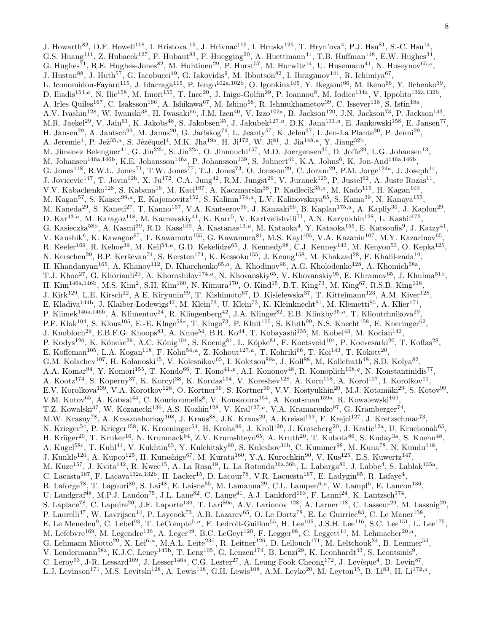J. Howarth<sup>82</sup>, D.F. Howell<sup>118</sup>, I. Hristova <sup>15</sup>, J. Hrivnac<sup>115</sup>, I. Hruska<sup>125</sup>, T. Hryn'ova<sup>4</sup>, P.J. Hsu<sup>81</sup>, S.-C. Hsu<sup>14</sup>, G.S. Huang<sup>111</sup>, Z. Hubacek<sup>127</sup>, F. Hubaut<sup>83</sup>, F. Huegging<sup>20</sup>, A. Huettmann<sup>41</sup>, T.B. Huffman<sup>118</sup>, E.W. Hughes<sup>34</sup>, G. Hughes<sup>71</sup>, R.E. Hughes-Jones<sup>82</sup>, M. Huhtinen<sup>29</sup>, P. Hurst<sup>57</sup>, M. Hurwitz<sup>14</sup>, U. Husemann<sup>41</sup>, N. Huseynov<sup>65,0</sup>, J. Huston<sup>88</sup>, J. Huth<sup>57</sup>, G. Iacobucci<sup>49</sup>, G. Iakovidis<sup>9</sup>, M. Ibbotson<sup>82</sup>, I. Ibragimov<sup>141</sup>, R. Ichimiya<sup>67</sup>, L. Iconomidou-Fayard<sup>115</sup>, J. Idarraga<sup>115</sup>, P. Iengo<sup>102a,102b</sup>, O. Igonkina<sup>105</sup>, Y. Ikegami<sup>66</sup>, M. Ikeno<sup>66</sup>, Y. Ilchenko<sup>39</sup>, D. Iliadis<sup>154,a</sup>, N. Ilic<sup>158</sup>, M. Imori<sup>155</sup>, T. Ince<sup>20</sup>, J. Inigo-Golfin<sup>29</sup>, P. Ioannou<sup>8</sup>, M. Iodice<sup>134a</sup>, V. Ippolito<sup>132a,132b</sup>,

A. Irles Quiles<sup>167</sup>, C. Isaksson<sup>166</sup>, A. Ishikawa<sup>67</sup>, M. Ishino<sup>68</sup>, R. Ishmukhametov<sup>39</sup>, C. Issever<sup>118</sup>, S. Istin<sup>18a</sup>, A.V. Ivashin<sup>128</sup>, W. Iwanski<sup>38</sup>, H. Iwasaki<sup>66</sup>, J.M. Izen<sup>40</sup>, V. Izzo<sup>102a</sup>, B. Jackson<sup>120</sup>, J.N. Jackson<sup>73</sup>, P. Jackson<sup>143</sup>, M.R. Jaekel<sup>29</sup>, V. Jain<sup>61</sup>, K. Jakobs<sup>48</sup>, S. Jakobsen<sup>35</sup>, J. Jakubek<sup>127,a</sup>, D.K. Jana<sup>111,a</sup>, E. Jankowski<sup>158</sup>, E. Jansen<sup>77</sup>, H. Jansen<sup>29</sup>, A. Jantsch<sup>99</sup>, M. Janus<sup>20</sup>, G. Jarlskog<sup>79</sup>, L. Jeanty<sup>57</sup>, K. Jelen<sup>37</sup>, I. Jen-La Plante<sup>30</sup>, P. Jenni<sup>29</sup>, A. Jeremie<sup>4</sup>, P. Jež<sup>35,a</sup>, S. Jézéquel<sup>4</sup>, M.K. Jha<sup>19a</sup>, H. Ji<sup>172</sup>, W. Ji<sup>81</sup>, J. Jia<sup>148,a</sup>, Y. Jiang<sup>32b</sup>, M. Jimenez Belenguer<sup>41</sup>, G. Jin<sup>32b</sup>, S. Jin<sup>32a</sup>, O. Jinnouchi<sup>157</sup>, M.D. Joergensen<sup>35</sup>, D. Joffe<sup>39</sup>, L.G. Johansen<sup>13</sup>, M. Johansen<sup>146a,146b</sup>, K.E. Johansson<sup>146a</sup>, P. Johansson<sup>139</sup>, S. Johnert<sup>41</sup>, K.A. Johns<sup>6</sup>, K. Jon-And<sup>146a,146b</sup>, G. Jones<sup>118</sup>, R.W.L. Jones<sup>71</sup>, T.W. Jones<sup>77</sup>, T.J. Jones<sup>73</sup>, O. Jonsson<sup>29</sup>, C. Joram<sup>29</sup>, P.M. Jorge<sup>124a</sup>, J. Joseph<sup>14</sup>, J. Jovicevic<sup>147</sup>, T. Jovin<sup>12b</sup>, X. Ju<sup>172</sup>, C.A. Jung<sup>42</sup>, R.M. Jungst<sup>29</sup>, V. Juranek<sup>125</sup>, P. Jussel<sup>62</sup>, A. Juste Rozas<sup>11</sup>, V.V. Kabachenko<sup>128</sup>, S. Kabana<sup>16</sup>, M. Kaci<sup>167</sup>, A. Kaczmarska<sup>38</sup>, P. Kadlecik<sup>35,a</sup>, M. Kado<sup>115</sup>, H. Kagan<sup>109</sup>, M. Kagan<sup>57</sup>, S. Kaiser<sup>99,a</sup>, E. Kajomovitz<sup>152</sup>, S. Kalinin<sup>174,a</sup>, L.V. Kalinovskaya<sup>65</sup>, S. Kama<sup>39</sup>, N. Kanaya<sup>155</sup>, M. Kaneda<sup>29</sup>, S. Kaneti<sup>27</sup>, T. Kanno<sup>157</sup>, V.A. Kantserov<sup>96</sup>, J. Kanzaki<sup>66</sup>, B. Kaplan<sup>175,a</sup>, A. Kapliy<sup>30</sup>, J. Kaplon<sup>29</sup>, D. Kar<sup>43,a</sup>, M. Karagoz<sup>118</sup>, M. Karnevskiy<sup>41</sup>, K. Karr<sup>5</sup>, V. Kartvelishvili<sup>71</sup>, A.N. Karyukhin<sup>128</sup>, L. Kashif<sup>172</sup>, G. Kasieczka<sup>58b</sup>, A. Kasmi<sup>39</sup>, R.D. Kass<sup>109</sup>, A. Kastanas<sup>13,a</sup>, M. Kataoka<sup>4</sup>, Y. Kataoka<sup>155</sup>, E. Katsoufis<sup>9</sup>, J. Katzy<sup>41</sup>, V. Kaushik<sup>6</sup>, K. Kawagoe<sup>67</sup>, T. Kawamoto<sup>155</sup>, G. Kawamura<sup>81</sup>, M.S. Kayl<sup>105</sup>, V.A. Kazanin<sup>107</sup>, M.Y. Kazarinov<sup>65</sup>, R. Keeler<sup>169</sup>, R. Kehoe<sup>39</sup>, M. Keil<sup>54,a</sup>, G.D. Kekelidze<sup>65</sup>, J. Kennedy<sup>98</sup>, C.J. Kenney<sup>143</sup>, M. Kenyon<sup>53</sup>, O. Kepka<sup>125</sup>, N. Kerschen<sup>29</sup>, B.P. Kerševan<sup>74</sup>, S. Kersten<sup>174</sup>, K. Kessoku<sup>155</sup>, J. Keung<sup>158</sup>, M. Khakzad<sup>28</sup>, F. Khalil-zada<sup>10</sup>, H. Khandanyan<sup>165</sup>, A. Khanov<sup>112</sup>, D. Kharchenko<sup>65,a</sup>, A. Khodinov<sup>96</sup>, A.G. Kholodenko<sup>128</sup>, A. Khomich<sup>58a</sup>, T.J. Khoo<sup>27</sup>, G. Khoriauli<sup>20</sup>, A. Khoroshilov<sup>174,a</sup>, N. Khovanskiy<sup>65</sup>, V. Khovanskiy<sup>95</sup>, E. Khramov<sup>65</sup>, J. Khubua<sup>51b</sup>, H. Kim<sup>146a,146b</sup>, M.S. Kim<sup>2</sup>, S.H. Kim<sup>160</sup>, N. Kimura<sup>170</sup>, O. Kind<sup>15</sup>, B.T. King<sup>73</sup>, M. King<sup>67</sup>, R.S.B. King<sup>118</sup>, J. Kirk<sup>129</sup>, L.E. Kirsch<sup>22</sup>, A.E. Kiryunin<sup>99</sup>, T. Kishimoto<sup>67</sup>, D. Kisielewska<sup>37</sup>, T. Kittelmann<sup>123</sup>, A.M. Kiver<sup>128</sup>, E. Kladiva<sup>144b</sup>, J. Klaiber-Lodewigs<sup>42</sup>, M. Klein<sup>73</sup>, U. Klein<sup>73</sup>, K. Kleinknecht<sup>81</sup>, M. Klemetti<sup>85</sup>, A. Klier<sup>171</sup>, P. Klimek<sup>146a,146b</sup>, A. Klimentov<sup>24</sup>, R. Klingenberg<sup>42</sup>, J.A. Klinger<sup>82</sup>, E.B. Klinkby<sup>35,a</sup>, T. Klioutchnikova<sup>29</sup>, P.F. Klok<sup>104</sup>, S. Klous<sup>105</sup>, E.-E. Kluge<sup>58a</sup>, T. Kluge<sup>73</sup>, P. Kluit<sup>105</sup>, S. Kluth<sup>99</sup>, N.S. Knecht<sup>158</sup>, E. Kneringer<sup>62</sup>, J. Knobloch<sup>29</sup>, E.B.F.G. Knoops<sup>83</sup>, A. Knue<sup>54</sup>, B.R. Ko<sup>44</sup>, T. Kobayashi<sup>155</sup>, M. Kobel<sup>43</sup>, M. Kocian<sup>143</sup>, P. Kodys<sup>126</sup>, K. Köneke<sup>29</sup>, A.C. König<sup>104</sup>, S. Koenig<sup>81</sup>, L. Köpke<sup>81</sup>, F. Koetsveld<sup>104</sup>, P. Koevesarki<sup>20</sup>, T. Koffas<sup>28</sup>, E. Koffeman<sup>105</sup>, L.A. Kogan<sup>118</sup>, F. Kohn<sup>54,a</sup>, Z. Kohout<sup>127,a</sup>, T. Kohriki<sup>66</sup>, T. Koi<sup>143</sup>, T. Kokott<sup>20</sup>, G.M. Kolachev<sup>107</sup>, H. Kolanoski<sup>15</sup>, V. Kolesnikov<sup>65</sup>, I. Koletsou<sup>89a</sup>, J. Koll<sup>88</sup>, M. Kollefrath<sup>48</sup>, S.D. Kolya<sup>82</sup>, A.A. Komar<sup>94</sup>, Y. Komori<sup>155</sup>, T. Kondo<sup>66</sup>, T. Kono<sup>41,p</sup>, A.I. Kononov<sup>48</sup>, R. Konoplich<sup>108,q</sup>, N. Konstantinidis<sup>77</sup>, A. Kootz<sup>174</sup>, S. Koperny<sup>37</sup>, K. Korcyl<sup>38</sup>, K. Kordas<sup>154</sup>, V. Koreshev<sup>128</sup>, A. Korn<sup>118</sup>, A. Korol<sup>107</sup>, I. Korolkov<sup>11</sup>, E.V. Korolkova<sup>139</sup>, V.A. Korotkov<sup>128</sup>, O. Kortner<sup>99</sup>, S. Kortner<sup>99</sup>, V.V. Kostyukhin<sup>20</sup>, M.J. Kotamäki<sup>29</sup>, S. Kotov<sup>99</sup>, V.M. Kotov<sup>65</sup>, A. Kotwal<sup>44</sup>, C. Kourkoumelis<sup>8</sup>, V. Kouskoura<sup>154</sup>, A. Koutsman<sup>159a</sup>, R. Kowalewski<sup>169</sup>, T.Z. Kowalski<sup>37</sup>, W. Kozanecki<sup>136</sup>, A.S. Kozhin<sup>128</sup>, V. Kral<sup>127,a</sup>, V.A. Kramarenko<sup>97</sup>, G. Kramberger<sup>74</sup>, M.W. Krasny<sup>78</sup>, A. Krasznahorkay<sup>108</sup>, J. Kraus<sup>88</sup>, J.K. Kraus<sup>20</sup>, A. Kreisel<sup>153</sup>, F. Krejci<sup>127</sup>, J. Kretzschmar<sup>73</sup>, N. Krieger<sup>54</sup>, P. Krieger<sup>158</sup>, K. Kroeninger<sup>54</sup>, H. Kroha<sup>99</sup>, J. Kroll<sup>120</sup>, J. Kroseberg<sup>20</sup>, J. Krstic<sup>12a</sup>, U. Kruchonak<sup>65</sup>, H. Krüger<sup>20</sup>, T. Kruker<sup>16</sup>, N. Krumnack<sup>64</sup>, Z.V. Krumshteyn<sup>65</sup>, A. Kruth<sup>20</sup>, T. Kubota<sup>86</sup>, S. Kuday<sup>3a</sup>, S. Kuehn<sup>48</sup>, A. Kugel<sup>58c</sup>, T. Kuhl<sup>41</sup>, V. Kukhtin<sup>65</sup>, Y. Kulchitsky<sup>90</sup>, S. Kuleshov<sup>31b</sup>, C. Kummer<sup>98</sup>, M. Kuna<sup>78</sup>, N. Kundu<sup>118</sup>, J. Kunkle<sup>120</sup>, A. Kupco<sup>125</sup>, H. Kurashige<sup>67</sup>, M. Kurata<sup>160</sup>, Y.A. Kurochkin<sup>90</sup>, V. Kus<sup>125</sup>, E.S. Kuwertz<sup>147</sup>, M. Kuze<sup>157</sup>, J. Kvita<sup>142</sup>, R. Kwee<sup>15</sup>, A. La Rosa<sup>49</sup>, L. La Rotonda<sup>36a,36b</sup>, L. Labarga<sup>80</sup>, J. Labbe<sup>4</sup>, S. Lablak<sup>135a</sup>, C. Lacasta<sup>167</sup>, F. Lacava<sup>132a,132b</sup>, H. Lacker<sup>15</sup>, D. Lacour<sup>78</sup>, V.R. Lacuesta<sup>167</sup>, E. Ladygin<sup>65</sup>, R. Lafaye<sup>4</sup>, B. Laforge<sup>78</sup>, T. Lagouri<sup>80</sup>, S. Lai<sup>48</sup>, E. Laisne<sup>55</sup>, M. Lamanna<sup>29</sup>, C.L. Lampen<sup>6,a</sup>, W. Lampl<sup>6</sup>, E. Lancon<sup>136</sup>, U. Landgraf<sup>48</sup>, M.P.J. Landon<sup>75</sup>, J.L. Lane<sup>82</sup>, C. Lange<sup>41</sup>, A.J. Lankford<sup>163</sup>, F. Lanni<sup>24</sup>, K. Lantzsch<sup>174</sup>, S. Laplace<sup>78</sup>, C. Lapoire<sup>20</sup>, J.F. Laporte<sup>136</sup>, T. Lari<sup>89a</sup>, A.V. Larionov <sup>128</sup>, A. Larner<sup>118</sup>, C. Lasseur<sup>29</sup>, M. Lassnig<sup>29</sup>, P. Laurelli<sup>47</sup>, W. Lavrijsen<sup>14</sup>, P. Laycock<sup>73</sup>, A.B. Lazarev<sup>65</sup>, O. Le Dortz<sup>78</sup>, E. Le Guirriec<sup>83</sup>, C. Le Maner<sup>158</sup>, E. Le Menedeu<sup>9</sup>, C. Lebel<sup>93</sup>, T. LeCompte<sup>5,a</sup>, F. Ledroit-Guillon<sup>55</sup>, H. Lee<sup>105</sup>, J.S.H. Lee<sup>116</sup>, S.C. Lee<sup>151</sup>, L. Lee<sup>175</sup>, M. Lefebvre<sup>169</sup>, M. Legendre<sup>136</sup>, A. Leger<sup>49</sup>, B.C. LeGeyt<sup>120</sup>, F. Legger<sup>98</sup>, C. Leggett<sup>14</sup>, M. Lehmacher<sup>20,a</sup>, G. Lehmann Miotto<sup>29</sup>, X. Lei<sup>6,a</sup>, M.A.L. Leite<sup>23d</sup>, R. Leitner<sup>126</sup>, D. Lellouch<sup>171</sup>, M. Leltchouk<sup>34</sup>, B. Lemmer<sup>54</sup>, V. Lendermann<sup>58a</sup>, K.J.C. Leney<sup>145b</sup>, T. Lenz<sup>105</sup>, G. Lenzen<sup>174</sup>, B. Lenzi<sup>29</sup>, K. Leonhardt<sup>43</sup>, S. Leontsinis<sup>9</sup>, C. Leroy<sup>93</sup>, J-R. Lessard<sup>169</sup>, J. Lesser<sup>146a</sup>, C.G. Lester<sup>27</sup>, A. Leung Fook Cheong<sup>172</sup>, J. Levêque<sup>4</sup>, D. Levin<sup>87</sup>, L.J. Levinson<sup>171</sup>, M.S. Levitski<sup>128</sup>, A. Lewis<sup>118</sup>, G.H. Lewis<sup>108</sup>, A.M. Leyko<sup>20</sup>, M. Leyton<sup>15</sup>, B. Li<sup>83</sup>, H. Li<sup>172,a</sup>,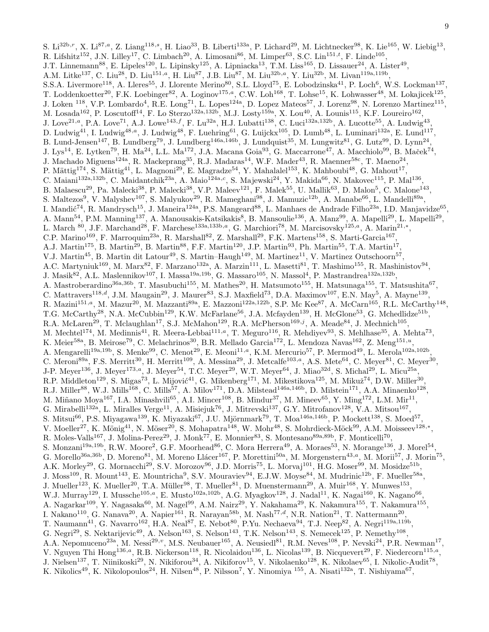S. Li<sup>32b,r</sup>, X. Li<sup>87,a</sup>, Z. Liang<sup>118,s</sup>, H. Liao<sup>33</sup>, B. Liberti<sup>133a</sup>, P. Lichard<sup>29</sup>, M. Lichtnecker<sup>98</sup>, K. Lie<sup>165</sup>, W. Liebig<sup>13</sup>, R. Lifshitz<sup>152</sup>, J.N. Lilley<sup>17</sup>, C. Limbach<sup>20</sup>, A. Limosani<sup>86</sup>, M. Limper<sup>63</sup>, S.C. Lin<sup>151,*t*</sup>, F. Linde<sup>105</sup>, J.T. Linnemann<sup>88</sup>, E. Lipeles<sup>120</sup>, L. Lipinsky<sup>125</sup>, A. Lipniacka<sup>13</sup>, T.M. Liss<sup>165</sup>, D. Lissauer<sup>24</sup>, A. Lister<sup>49</sup>, A.M. Litke<sup>137</sup>, C. Liu<sup>28</sup>, D. Liu<sup>151,a</sup>, H. Liu<sup>87</sup>, J.B. Liu<sup>87</sup>, M. Liu<sup>32b,a</sup>, Y. Liu<sup>32b</sup>, M. Livan<sup>119a,119b</sup>, S.S.A. Livermore<sup>118</sup>, A. Lleres<sup>55</sup>, J. Llorente Merino<sup>80</sup>, S.L. Lloyd<sup>75</sup>, E. Lobodzinska<sup>41</sup>, P. Loch<sup>6</sup>, W.S. Lockman<sup>137</sup>, T. Loddenkoetter<sup>20</sup>, F.K. Loebinger<sup>82</sup>, A. Loginov<sup>175,a</sup>, C.W. Loh<sup>168</sup>, T. Lohse<sup>15</sup>, K. Lohwasser<sup>48</sup>, M. Lokajicek<sup>125</sup>, J. Loken <sup>118</sup>, V.P. Lombardo<sup>4</sup>, R.E. Long<sup>71</sup>, L. Lopes<sup>124a</sup>, D. Lopez Mateos<sup>57</sup>, J. Lorenz<sup>98</sup>, N. Lorenzo Martinez<sup>115</sup>, M. Losada<sup>162</sup>, P. Loscutoff<sup>14</sup>, F. Lo Sterzo<sup>132a,132b</sup>, M.J. Losty<sup>159a</sup>, X. Lou<sup>40</sup>, A. Lounis<sup>115</sup>, K.F. Loureiro<sup>162</sup>, J. Love<sup>21,a</sup>, P.A. Love<sup>71</sup>, A.J. Lowe<sup>143,f</sup>, F. Lu<sup>32a</sup>, H.J. Lubatti<sup>138</sup>, C. Luci<sup>132a,132b</sup>, A. Lucotte<sup>55</sup>, A. Ludwig<sup>43</sup>, D. Ludwig<sup>41</sup>, I. Ludwig<sup>48,a</sup>, J. Ludwig<sup>48</sup>, F. Luehring<sup>61</sup>, G. Luijckx<sup>105</sup>, D. Lumb<sup>48</sup>, L. Luminari<sup>132a</sup>, E. Lund<sup>117</sup>, B. Lund-Jensen<sup>147</sup>, B. Lundberg<sup>79</sup>, J. Lundberg<sup>146a,146b</sup>, J. Lundquist<sup>35</sup>, M. Lungwitz<sup>81</sup>, G. Lutz<sup>99</sup>, D. Lynn<sup>24</sup>, J. Lys<sup>14</sup>, E. Lytken<sup>79</sup>, H. Ma<sup>24</sup>, L.L. Ma<sup>172</sup>, J.A. Macana Goia<sup>93</sup>, G. Maccarrone<sup>47</sup>, A. Macchiolo<sup>99</sup>, B. Maček<sup>74</sup>, J. Machado Miguens<sup>124a</sup>, R. Mackeprang<sup>35</sup>, R.J. Madaras<sup>14</sup>, W.F. Mader<sup>43</sup>, R. Maenner<sup>58c</sup>, T. Maeno<sup>24</sup>, P. Mättig $^{174}$ , S. Mättig $^{41}$ , L. Magnoni<sup>29</sup>, E. Magradze<sup>54</sup>, Y. Mahalalel<sup>153</sup>, K. Mahboubi $^{48}$ , G. Mahout $^{17}$ , C. Maiani<sup>132a,132b</sup>, C. Maidantchik<sup>23a</sup>, A. Maio<sup>124a,c</sup>, S. Majewski<sup>24</sup>, Y. Makida<sup>66</sup>, N. Makovec<sup>115</sup>, P. Mal<sup>136</sup>, B. Malaescu<sup>29</sup>, Pa. Malecki<sup>38</sup>, P. Malecki<sup>38</sup>, V.P. Maleev<sup>121</sup>, F. Malek<sup>55</sup>, U. Mallik<sup>63</sup>, D. Malon<sup>5</sup>, C. Malone<sup>143</sup>, S. Maltezos<sup>9</sup>, V. Malyshev<sup>107</sup>, S. Malyukov<sup>29</sup>, R. Mameghani<sup>98</sup>, J. Mamuzic<sup>12b</sup>, A. Manabe<sup>66</sup>, L. Mandelli<sup>89a</sup>, I. Mandić<sup>74</sup>, R. Mandrysch<sup>15</sup>, J. Maneira<sup>124a</sup>, P.S. Mangeard<sup>88</sup>, L. Manhaes de Andrade Filho<sup>23a</sup>, I.D. Manjavidze<sup>65</sup>, A. Mann<sup>54</sup>, P.M. Manning<sup>137</sup>, A. Manousakis-Katsikakis<sup>8</sup>, B. Mansoulie<sup>136</sup>, A. Manz<sup>99</sup>, A. Mapelli<sup>29</sup>, L. Mapelli<sup>29</sup>, L. March <sup>80</sup>, J.F. Marchand<sup>28</sup>, F. Marchese<sup>133a,133b,a</sup>, G. Marchiori<sup>78</sup>, M. Marcisovsky<sup>125,a</sup>, A. Marin<sup>21,\*</sup>, C.P. Marino<sup>169</sup>, F. Marroquim<sup>23a</sup>, R. Marshall<sup>82</sup>, Z. Marshall<sup>29</sup>, F.K. Martens<sup>158</sup>, S. Marti-Garcia<sup>167</sup>, A.J. Martin<sup>175</sup>, B. Martin<sup>29</sup>, B. Martin<sup>88</sup>, F.F. Martin<sup>120</sup>, J.P. Martin<sup>93</sup>, Ph. Martin<sup>55</sup>, T.A. Martin<sup>17</sup>, V.J. Martin<sup>45</sup>, B. Martin dit Latour<sup>49</sup>, S. Martin–Haugh<sup>149</sup>, M. Martinez<sup>11</sup>, V. Martinez Outschoorn<sup>57</sup>, A.C. Martyniuk<sup>169</sup>, M. Marx<sup>82</sup>, F. Marzano<sup>132a</sup>, A. Marzin<sup>111</sup>, L. Masetti<sup>81</sup>, T. Mashimo<sup>155</sup>, R. Mashinistov<sup>94</sup>, J. Masik<sup>82</sup>, A.L. Maslennikov<sup>107</sup>, I. Massa<sup>19a,19b</sup>, G. Massaro<sup>105</sup>, N. Massol<sup>4</sup>, P. Mastrandrea<sup>132a,132b</sup>, A. Mastroberardino<sup>36a,36b</sup>, T. Masubuchi<sup>155</sup>, M. Mathes<sup>20</sup>, H. Matsumoto<sup>155</sup>, H. Matsunaga<sup>155</sup>, T. Matsushita<sup>67</sup>, C. Mattravers<sup>118,d</sup>, J.M. Maugain<sup>29</sup>, J. Maurer<sup>83</sup>, S.J. Maxfield<sup>73</sup>, D.A. Maximov<sup>107</sup>, E.N. May<sup>5</sup>, A. Mayne<sup>139</sup>, R. Mazini<sup>151,a</sup>, M. Mazur<sup>20</sup>, M. Mazzanti<sup>89a</sup>, E. Mazzoni<sup>122a,122b</sup>, S.P. Mc Kee<sup>87</sup>, A. McCarn<sup>165</sup>, R.L. McCarthy<sup>148</sup>, T.G. McCarthy<sup>28</sup>, N.A. McCubbin<sup>129</sup>, K.W. McFarlane<sup>56</sup>, J.A. Mcfayden<sup>139</sup>, H. McGlone<sup>53</sup>, G. Mchedlidze<sup>51b</sup>, R.A. McLaren<sup>29</sup>, T. Mclaughlan<sup>17</sup>, S.J. McMahon<sup>129</sup>, R.A. McPherson<sup>169,j</sup>, A. Meade<sup>84</sup>, J. Mechnich<sup>105</sup>, M. Mechtel<sup>174</sup>, M. Medinnis<sup>41</sup>, R. Meera-Lebbai<sup>111,a</sup>, T. Meguro<sup>116</sup>, R. Mehdiyev<sup>93</sup>, S. Mehlhase<sup>35</sup>, A. Mehta<sup>73</sup>, K. Meier<sup>58a</sup>, B. Meirose<sup>79</sup>, C. Melachrinos<sup>30</sup>, B.R. Mellado Garcia<sup>172</sup>, L. Mendoza Navas<sup>162</sup>, Z. Meng<sup>151,*u*</sup>, A. Mengarelli<sup>19a,19b</sup>, S. Menke<sup>99</sup>, C. Menot<sup>29</sup>, E. Meoni<sup>11,a</sup>, K.M. Mercurio<sup>57</sup>, P. Mermod<sup>49</sup>, L. Merola<sup>102a,102b</sup>, C. Meroni<sup>89a</sup>, F.S. Merritt<sup>30</sup>, H. Merritt<sup>109</sup>, A. Messina<sup>29</sup>, J. Metcalfe<sup>103,a</sup>, A.S. Mete<sup>64</sup>, C. Meyer<sup>81</sup>, C. Meyer<sup>30</sup>, J-P. Meyer<sup>136</sup>, J. Meyer<sup>173,a</sup>, J. Meyer<sup>54</sup>, T.C. Meyer<sup>29</sup>, W.T. Meyer<sup>64</sup>, J. Miao<sup>32d</sup>, S. Michal<sup>29</sup>, L. Micu<sup>25a</sup>, R.P. Middleton<sup>129</sup>, S. Migas<sup>73</sup>, L. Mijović<sup>41</sup>, G. Mikenberg<sup>171</sup>, M. Mikestikova<sup>125</sup>, M. Mikuž<sup>74</sup>, D.W. Miller<sup>30</sup>, R.J. Miller<sup>88</sup>, W.J. Mills<sup>168</sup>, C. Mills<sup>57</sup>, A. Milov<sup>171</sup>, D.A. Milstead<sup>146a,146b</sup>, D. Milstein<sup>171</sup>, A.A. Minaenko<sup>128</sup>, M. Miñano Moya<sup>167</sup>, I.A. Minashvili<sup>65</sup>, A.I. Mincer<sup>108</sup>, B. Mindur<sup>37</sup>, M. Mineev<sup>65</sup>, Y. Ming<sup>172</sup>, L.M. Mir<sup>11</sup>, G. Mirabelli<sup>132a</sup>, L. Miralles Verge<sup>11</sup>, A. Misiejuk<sup>76</sup>, J. Mitrevski<sup>137</sup>, G.Y. Mitrofanov<sup>128</sup>, V.A. Mitsou<sup>167</sup>, S. Mitsui<sup>66</sup>, P.S. Miyagawa<sup>139</sup>, K. Miyazaki<sup>67</sup>, J.U. Mjörnmark<sup>79</sup>, T. Moa<sup>146a,146b</sup>, P. Mockett<sup>138</sup>, S. Moed<sup>57</sup>, V. Moeller<sup>27</sup>, K. Mönig<sup>41</sup>, N. Möser<sup>20</sup>, S. Mohapatra<sup>148</sup>, W. Mohr<sup>48</sup>, S. Mohrdieck-Möck<sup>99</sup>, A.M. Moisseev<sup>128,\*</sup>, R. Moles-Valls<sup>167</sup>, J. Molina-Perez<sup>29</sup>, J. Monk<sup>77</sup>, E. Monnier<sup>83</sup>, S. Montesano<sup>89a,89b</sup>, F. Monticelli<sup>70</sup>, S. Monzani<sup>19a,19b</sup>, R.W. Moore<sup>2</sup>, G.F. Moorhead<sup>86</sup>, C. Mora Herrera<sup>49</sup>, A. Moraes<sup>53</sup>, N. Morange<sup>136</sup>, J. Morel<sup>54</sup>, G. Morello<sup>36a,36b</sup>, D. Moreno<sup>81</sup>, M. Moreno Llácer<sup>167</sup>, P. Morettini<sup>50a</sup>, M. Morgenstern<sup>43,a</sup>, M. Morii<sup>57</sup>, J. Morin<sup>75</sup>, A.K. Morley<sup>29</sup>, G. Mornacchi<sup>29</sup>, S.V. Morozov<sup>96</sup>, J.D. Morris<sup>75</sup>, L. Morvaj<sup>101</sup>, H.G. Moser<sup>99</sup>, M. Mosidze<sup>51b</sup>, J. Moss<sup>109</sup>, R. Mount<sup>143</sup>, E. Mountricha<sup>9</sup>, S.V. Mouraviev<sup>94</sup>, E.J.W. Moyse<sup>84</sup>, M. Mudrinic<sup>12b</sup>, F. Mueller<sup>58a</sup>, J. Mueller<sup>123</sup>, K. Mueller<sup>20</sup>, T.A. Müller<sup>98</sup>, T. Mueller<sup>81</sup>, D. Muenstermann<sup>29</sup>, A. Muir<sup>168</sup>, Y. Munwes<sup>153</sup>, W.J. Murray<sup>129</sup>, I. Mussche<sup>105,a</sup>, E. Musto<sup>102a,102b</sup>, A.G. Myagkov<sup>128</sup>, J. Nadal<sup>11</sup>, K. Nagai<sup>160</sup>, K. Nagano<sup>66</sup>, A. Nagarkar $^{109}$ , Y. Nagasaka $^{60}$ , M. Nagel $^{99}$ , A.M. Nairz $^{29}$ , Y. Nakahama $^{29}$ , K. Nakamura $^{155}$ , T. Nakamura $^{155}$ , I. Nakano<sup>110</sup>, G. Nanava<sup>20</sup>, A. Napier<sup>161</sup>, R. Narayan<sup>58b</sup>, M. Nash<sup>77,d</sup>, N.R. Nation<sup>21</sup>, T. Nattermann<sup>20</sup>, T. Naumann<sup>41</sup>, G. Navarro<sup>162</sup>, H.A. Neal<sup>87</sup>, E. Nebot<sup>80</sup>, P.Yu. Nechaeva<sup>94</sup>, T.J. Neep<sup>82</sup>, A. Negri<sup>119a,119b</sup>, G. Negri<sup>29</sup>, S. Nektarijevic<sup>49</sup>, A. Nelson<sup>163</sup>, S. Nelson<sup>143</sup>, T.K. Nelson<sup>143</sup>, S. Nemecek<sup>125</sup>, P. Nemethy<sup>108</sup>, A.A. Nepomuceno<sup>23a</sup>, M. Nessi<sup>29,</sup><sup>v</sup>, M.S. Neubauer<sup>165</sup>, A. Neusiedl<sup>81</sup>, R.M. Neves<sup>108</sup>, P. Nevski<sup>24</sup>, P.R. Newman<sup>17</sup>, V. Nguyen Thi Hong<sup>136,a</sup>, R.B. Nickerson<sup>118</sup>, R. Nicolaidou<sup>136</sup>, L. Nicolas<sup>139</sup>, B. Nicquevert<sup>29</sup>, F. Niedercorn<sup>115,a</sup>, J. Nielsen<sup>137</sup>, T. Niinikoski<sup>29</sup>, N. Nikiforou<sup>34</sup>, A. Nikiforov<sup>15</sup>, V. Nikolaenko<sup>128</sup>, K. Nikolaev<sup>65</sup>, I. Nikolic-Audit<sup>78</sup>, K. Nikolics<sup>49</sup>, K. Nikolopoulos<sup>24</sup>, H. Nilsen<sup>48</sup>, P. Nilsson<sup>7</sup>, Y. Ninomiya <sup>155</sup>, A. Nisati<sup>132a</sup>, T. Nishiyama<sup>67</sup>,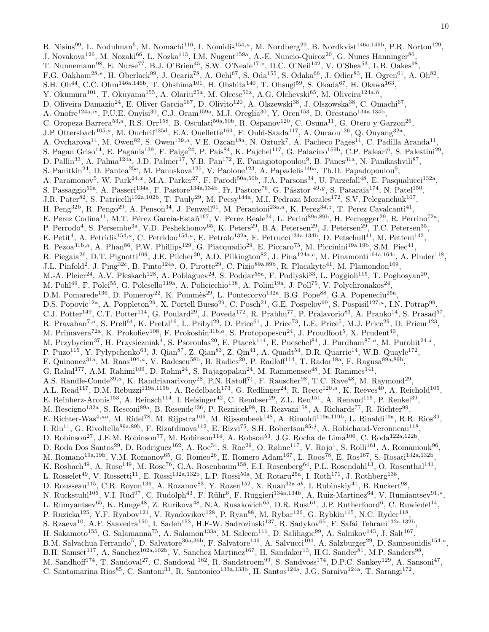R. Nisius<sup>99</sup>, L. Nodulman<sup>5</sup>, M. Nomachi<sup>116</sup>, I. Nomidis<sup>154,a</sup>, M. Nordberg<sup>29</sup>, B. Nordkvist<sup>146a,146b</sup>, P.R. Norton<sup>129</sup>, J. Novakova<sup>126</sup>, M. Nozaki<sup>66</sup>, L. Nozka<sup>113</sup>, I.M. Nugent<sup>159a</sup>, A.-E. Nuncio-Quiroz<sup>20</sup>, G. Nunes Hanninger<sup>86</sup>, T. Nunnemann<sup>98</sup>, E. Nurse<sup>77</sup>, B.J. O'Brien<sup>45</sup>, S.W. O'Neale<sup>17,\*</sup>, D.C. O'Neil<sup>142</sup>, V. O'Shea<sup>53</sup>, L.B. Oakes<sup>98</sup>, F.G. Oakham<sup>28,e</sup>, H. Oberlack<sup>99</sup>, J. Ocariz<sup>78</sup>, A. Ochi<sup>67</sup>, S. Oda<sup>155</sup>, S. Odaka<sup>66</sup>, J. Odier<sup>83</sup>, H. Ogren<sup>61</sup>, A. Oh<sup>82</sup>, S.H. Oh<sup>44</sup>, C.C. Ohm<sup>146a,146b</sup>, T. Ohshima<sup>101</sup>, H. Ohshita<sup>140</sup>, T. Ohsugi<sup>59</sup>, S. Okada<sup>67</sup>, H. Okawa<sup>163</sup>, Y. Okumura<sup>101</sup>, T. Okuyama<sup>155</sup>, A. Olariu<sup>25a</sup>, M. Olcese<sup>50a</sup>, A.G. Olchevski<sup>65</sup>, M. Oliveira<sup>124a,h</sup>, D. Oliveira Damazio<sup>24</sup>, E. Oliver Garcia<sup>167</sup>, D. Olivito<sup>120</sup>, A. Olszewski<sup>38</sup>, J. Olszowska<sup>38</sup>, C. Omachi<sup>67</sup>, A. Onofre<sup>124a,w</sup>, P.U.E. Onyisi<sup>30</sup>, C.J. Oram<sup>159a</sup>, M.J. Oreglia<sup>30</sup>, Y. Oren<sup>153</sup>, D. Orestano<sup>134a,134b</sup>, C. Oropeza Barrera<sup>53,a</sup>, R.S. Orr<sup>158</sup>, B. Osculati<sup>50a,50b</sup>, R. Ospanov<sup>120</sup>, C. Osuna<sup>11</sup>, G. Otero y Garzon<sup>26</sup>, J.P Ottersbach<sup>105,a</sup>, M. Ouchrif<sup>135d</sup>, E.A. Ouellette<sup>169</sup>, F. Ould-Saada<sup>117</sup>, A. Ouraou<sup>136</sup>, Q. Ouyang<sup>32a</sup>, A. Ovcharova<sup>14</sup>, M. Owen<sup>82</sup>, S. Owen<sup>139,a</sup>, V.E. Ozcan<sup>18a</sup>, N. Ozturk<sup>7</sup>, A. Pacheco Pages<sup>11</sup>, C. Padilla Aranda<sup>11</sup>, S. Pagan Griso<sup>14</sup>, E. Paganis<sup>139</sup>, F. Paige<sup>24</sup>, P. Pais<sup>84</sup>, K. Pajchel<sup>117</sup>, G. Palacino<sup>159b</sup>, C.P. Paleari<sup>6</sup>, S. Palestini<sup>29</sup>, D. Pallin<sup>33</sup>, A. Palma<sup>124a</sup>, J.D. Palmer<sup>17</sup>, Y.B. Pan<sup>172</sup>, E. Panagiotopoulou<sup>9</sup>, B. Panes<sup>31a</sup>, N. Panikashvili<sup>87</sup>, S. Panitkin<sup>24</sup>, D. Pantea<sup>25a</sup>, M. Panuskova<sup>125</sup>, V. Paolone<sup>123</sup>, A. Papadelis<sup>146a</sup>, Th.D. Papadopoulou<sup>9</sup>, A. Paramonov<sup>5</sup>, W. Park<sup>24,x</sup>, M.A. Parker<sup>27</sup>, F. Parodi<sup>50a,50b</sup>, J.A. Parsons<sup>34</sup>, U. Parzefall<sup>48</sup>, E. Pasqualucci<sup>132a</sup>, S. Passaggio<sup>50a</sup>, A. Passeri<sup>134a</sup>, F. Pastore<sup>134a,134b</sup>, Fr. Pastore<sup>76</sup>, G. Pásztor <sup>49,y</sup>, S. Pataraia<sup>174</sup>, N. Patel<sup>150</sup>, J.R. Pater<sup>82</sup>, S. Patricelli<sup>102a,102b</sup>, T. Pauly<sup>29</sup>, M. Pecsy<sup>144a</sup>, M.I. Pedraza Morales<sup>172</sup>, S.V. Peleganchuk<sup>107</sup>, H. Peng<sup>32b</sup>, R. Pengo<sup>29</sup>, A. Penson<sup>34</sup>, J. Penwell<sup>61</sup>, M. Perantoni<sup>23a,a</sup>, K. Perez<sup>34,z</sup>, T. Perez Cavalcanti<sup>41</sup>, E. Perez Codina<sup>11</sup>, M.T. Pérez García-Estañ<sup>167</sup>, V. Perez Reale<sup>34</sup>, L. Perini<sup>89a,89b</sup>, H. Pernegger<sup>29</sup>, R. Perrino<sup>72a</sup>, P. Perrodo<sup>4</sup>, S. Persembe<sup>3a</sup>, V.D. Peshekhonov<sup>65</sup>, K. Peters<sup>29</sup>, B.A. Petersen<sup>29</sup>, J. Petersen<sup>29</sup>, T.C. Petersen<sup>35</sup>, E. Petit<sup>4</sup>, A. Petridis<sup>154,a</sup>, C. Petridou<sup>154,a</sup>, E. Petrolo<sup>132a</sup>, F. Petrucci<sup>134a,134b</sup>, D. Petschull<sup>41</sup>, M. Petteni<sup>142</sup>, R. Pezoa<sup>31b,a</sup>, A. Phan<sup>86</sup>, P.W. Phillips<sup>129</sup>, G. Piacquadio<sup>29</sup>, E. Piccaro<sup>75</sup>, M. Piccinini<sup>19a,19b</sup>, S.M. Piec<sup>41</sup>, R. Piegaia<sup>26</sup>, D.T. Pignotti<sup>109</sup>, J.E. Pilcher<sup>30</sup>, A.D. Pilkington<sup>82</sup>, J. Pina<sup>124a,c</sup>, M. Pinamonti<sup>164a,164c</sup>, A. Pinder<sup>118</sup>, J.L. Pinfold<sup>2</sup>, J. Ping<sup>32c</sup>, B. Pinto<sup>124a</sup>, O. Pirotte<sup>29</sup>, C. Pizio<sup>89a,89b</sup>, R. Placakyte<sup>41</sup>, M. Plamondon<sup>169</sup>, M.-A. Pleier<sup>24</sup>, A.V. Pleskach<sup>128</sup>, A. Poblaguev<sup>24</sup>, S. Poddar<sup>58a</sup>, F. Podlyski<sup>33</sup>, L. Poggioli<sup>115</sup>, T. Poghosyan<sup>20</sup>, M. Pohl<sup>49</sup>, F. Polci<sup>55</sup>, G. Polesello<sup>119a</sup>, A. Policicchio<sup>138</sup>, A. Polini<sup>19a</sup>, J. Poll<sup>75</sup>, V. Polychronakos<sup>24</sup>, D.M. Pomarede<sup>136</sup>, D. Pomeroy<sup>22</sup>, K. Pommès<sup>29</sup>, L. Pontecorvo<sup>132a</sup>, B.G. Pope<sup>88</sup>, G.A. Popeneciu<sup>25a</sup>, D.S. Popovic<sup>12a</sup>, A. Poppleton<sup>29</sup>, X. Portell Bueso<sup>29</sup>, C. Posch<sup>21</sup>, G.E. Pospelov<sup>99</sup>, S. Pospisil<sup>127,a</sup>, I.N. Potrap<sup>99</sup>, C.J. Potter<sup>149</sup>, C.T. Potter<sup>114</sup>, G. Poulard<sup>29</sup>, J. Poveda<sup>172</sup>, R. Prabhu<sup>77</sup>, P. Pralavorio<sup>83</sup>, A. Pranko<sup>14</sup>, S. Prasad<sup>57</sup>, R. Pravahan<sup>7,a</sup>, S. Prell<sup>64</sup>, K. Pretzl<sup>16</sup>, L. Pribyl<sup>29</sup>, D. Price<sup>61</sup>, J. Price<sup>73</sup>, L.E. Price<sup>5</sup>, M.J. Price<sup>29</sup>, D. Prieur<sup>123</sup>, M. Primavera<sup>72a</sup>, K. Prokofiev<sup>108</sup>, F. Prokoshin<sup>31b,a</sup>, S. Protopopescu<sup>24</sup>, J. Proudfoot<sup>5</sup>, X. Prudent<sup>43</sup>, M. Przybycien<sup>37</sup>, H. Przysiezniak<sup>4</sup>, S. Psoroulas<sup>20</sup>, E. Ptacek<sup>114</sup>, E. Pueschel<sup>84</sup>, J. Purdham<sup>87,a</sup>, M. Purohit<sup>24,x</sup>, P. Puzo<sup>115</sup>, Y. Pylypchenko<sup>63</sup>, J. Qian<sup>87</sup>, Z. Qian<sup>83</sup>, Z. Qin<sup>41</sup>, A. Quadt<sup>54</sup>, D.R. Quarrie<sup>14</sup>, W.B. Quayle<sup>172</sup>, F. Quinonez<sup>31a</sup>, M. Raas<sup>104,a</sup>, V. Radescu<sup>58b</sup>, B. Radics<sup>20</sup>, P. Radloff<sup>114</sup>, T. Rador<sup>18a</sup>, F. Ragusa<sup>89a,89b</sup>, G. Rahal<sup>177</sup>, A.M. Rahimi<sup>109</sup>, D. Rahm<sup>24</sup>, S. Rajagopalan<sup>24</sup>, M. Rammensee<sup>48</sup>, M. Rammes<sup>141</sup>, A.S. Randle-Conde<sup>39,a</sup>, K. Randrianarivony<sup>28</sup>, P.N. Ratoff<sup>71</sup>, F. Rauscher<sup>98</sup>, T.C. Rave<sup>48</sup>, M. Raymond<sup>29</sup>, A.L. Read<sup>117</sup>, D.M. Rebuzzi<sup>119a,119b</sup>, A. Redelbach<sup>173</sup>, G. Redlinger<sup>24</sup>, R. Reece<sup>120,a</sup>, K. Reeves<sup>40</sup>, A. Reichold<sup>105</sup>, E. Reinherz-Aronis<sup>153</sup>, A. Reinsch<sup>114</sup>, I. Reisinger<sup>42</sup>, C. Rembser<sup>29</sup>, Z.L. Ren<sup>151</sup>, A. Renaud<sup>115</sup>, P. Renkel<sup>39</sup>, M. Rescigno<sup>132a</sup>, S. Resconi<sup>89a</sup>, B. Resende<sup>136</sup>, P. Reznicek<sup>98</sup>, R. Rezvani<sup>158</sup>, A. Richards<sup>77</sup>, R. Richter<sup>99</sup>, E. Richter-Was<sup>4,aa</sup>, M. Ridel<sup>78</sup>, M. Rijpstra<sup>105</sup>, M. Rijssenbeek<sup>148</sup>, A. Rimoldi<sup>119a,119b</sup>, L. Rinaldi<sup>19a</sup>, R.R. Rios<sup>39</sup>, I. Riu<sup>11</sup>, G. Rivoltella<sup>89a,89b</sup>, F. Rizatdinova<sup>112</sup>, E. Rizvi<sup>75</sup>, S.H. Robertson<sup>85,j</sup>, A. Robichaud-Veronneau<sup>118</sup>, D. Robinson<sup>27</sup>, J.E.M. Robinson<sup>77</sup>, M. Robinson<sup>114</sup>, A. Robson<sup>53</sup>, J.G. Rocha de Lima<sup>106</sup>, C. Roda<sup>122a,122b</sup>, D. Roda Dos Santos<sup>29</sup>, D. Rodriguez<sup>162</sup>, A. Roe<sup>54</sup>, S. Roe<sup>29</sup>, O. Røhne<sup>117</sup>, V. Rojo<sup>1</sup>, S. Rolli<sup>161</sup>, A. Romaniouk<sup>96</sup>, M. Romano<sup>19a,19b</sup>, V.M. Romanov<sup>65</sup>, G. Romeo<sup>26</sup>, E. Romero Adam<sup>167</sup>, L. Roos<sup>78</sup>, E. Ros<sup>167</sup>, S. Rosati<sup>132a,132b</sup>, K. Rosbach<sup>49</sup>, A. Rose<sup>149</sup>, M. Rose<sup>76</sup>, G.A. Rosenbaum<sup>158</sup>, E.I. Rosenberg<sup>64</sup>, P.L. Rosendahl<sup>13</sup>, O. Rosenthal<sup>141</sup>, L. Rosselet<sup>49</sup>, V. Rossetti<sup>11</sup>, E. Rossi<sup>132a,132b</sup>, L.P. Rossi<sup>50a</sup>, M. Rotaru<sup>25a</sup>, I. Roth<sup>171</sup>, J. Rothberg<sup>138</sup>, D. Rousseau<sup>115</sup>, C.R. Royon<sup>136</sup>, A. Rozanov<sup>83</sup>, Y. Rozen<sup>152</sup>, X. Ruan<sup>32a,ab</sup>, I. Rubinskiy<sup>41</sup>, B. Ruckert<sup>98</sup>, N. Ruckstuhl<sup>105</sup>, V.I. Rud<sup>97</sup>, C. Rudolph<sup>43</sup>, F. Rühr<sup>6</sup>, F. Ruggieri<sup>134a,134b</sup>, A. Ruiz-Martinez<sup>64</sup>, V. Rumiantsev<sup>91,\*</sup>, L. Rumyantsev $^{65}$ , K. Runge<sup>48</sup>, Z. Rurikova<sup>48</sup>, N.A. Rusakovich $^{65}$ , D.R. Rust $^{61}$ , J.P. Rutherfoord $^6$ , C. Ruwiedel<sup>14</sup>, P. Ruzicka<sup>125</sup>, Y.F. Ryabov<sup>121</sup>, V. Ryadovikov<sup>128</sup>, P. Ryan<sup>88</sup>, M. Rybar<sup>126</sup>, G. Rybkin<sup>115</sup>, N.C. Ryder<sup>118</sup>, S. Rzaeva<sup>10</sup>, A.F. Saavedra<sup>150</sup>, I. Sadeh<sup>153</sup>, H.F-W. Sadrozinski<sup>137</sup>, R. Sadykov<sup>65</sup>, F. Safai Tehrani<sup>132a,132b</sup>, H. Sakamoto<sup>155</sup>, G. Salamanna<sup>75</sup>, A. Salamon<sup>133a</sup>, M. Saleem<sup>111</sup>, D. Salihagic<sup>99</sup>, A. Salnikov<sup>143</sup>, J. Salt<sup>167</sup>, B.M. Salvachua Ferrando<sup>5</sup>, D. Salvatore<sup>36a,36b</sup>, F. Salvatore<sup>149</sup>, A. Salvucci<sup>104</sup>, A. Salzburger<sup>29</sup>, D. Sampsonidis<sup>154,a</sup>, B.H. Samset<sup>117</sup>, A. Sanchez<sup>102a,102b</sup>, V. Sanchez Martinez<sup>167</sup>, H. Sandaker<sup>13</sup>, H.G. Sander<sup>81</sup>, M.P. Sanders<sup>98</sup>, M. Sandhoff<sup>174</sup>, T. Sandoval<sup>27</sup>, C. Sandoval <sup>162</sup>, R. Sandstroem<sup>99</sup>, S. Sandvoss<sup>174</sup>, D.P.C. Sankey<sup>129</sup>, A. Sansoni<sup>47</sup>, C. Santamarina Rios<sup>85</sup>, C. Santoni<sup>33</sup>, R. Santonico<sup>133a,133b</sup>, H. Santos<sup>124a</sup>, J.G. Saraiva<sup>124a</sup>, T. Sarangi<sup>172</sup>,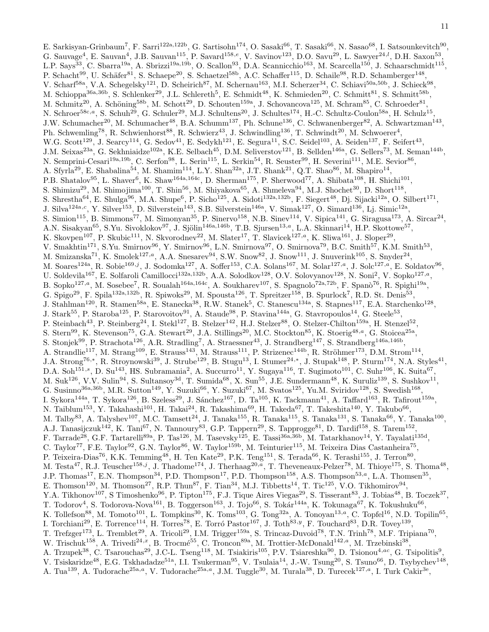E. Sarkisyan-Grinbaum<sup>7</sup>, F. Sarri<sup>122a,122b</sup>, G. Sartisohn<sup>174</sup>, O. Sasaki<sup>66</sup>, T. Sasaki<sup>66</sup>, N. Sasao<sup>68</sup>, I. Satsounkevitch<sup>90</sup>, G. Sauvage<sup>4</sup>, E. Sauvan<sup>4</sup>, J.B. Sauvan<sup>115</sup>, P. Savard<sup>158,e</sup>, V. Savinov<sup>123</sup>, D.O. Savu<sup>29</sup>, L. Sawyer<sup>24,*l*</sup>, D.H. Saxon<sup>53</sup>, L.P. Says<sup>33</sup>, C. Sbarra<sup>19a</sup>, A. Sbrizzi<sup>19a,19b</sup>, O. Scallon<sup>93</sup>, D.A. Scannicchio<sup>163</sup>, M. Scarcella<sup>150</sup>, J. Schaarschmidt<sup>115</sup>, P. Schacht<sup>99</sup>, U. Schäfer<sup>81</sup>, S. Schaepe<sup>20</sup>, S. Schaetzel<sup>58b</sup>, A.C. Schaffer<sup>115</sup>, D. Schaile<sup>98</sup>, R.D. Schamberger<sup>148</sup>, V. Scharf<sup>58a</sup>, V.A. Schegelsky<sup>121</sup>, D. Scheirich<sup>87</sup>, M. Schernau<sup>163</sup>, M.I. Scherzer<sup>34</sup>, C. Schiavi<sup>50a,50b</sup>, J. Schieck<sup>98</sup>, M. Schioppa<sup>36a,36b</sup>, S. Schlenker<sup>29</sup>, J.L. Schlereth<sup>5</sup>, E. Schmidt<sup>48</sup>, K. Schmieden<sup>20</sup>, C. Schmitt<sup>81</sup>, S. Schmitt<sup>58b</sup>, M. Schmitz<sup>20</sup>, A. Schöning<sup>58b</sup>, M. Schott<sup>29</sup>, D. Schouten<sup>159a</sup>, J. Schovancova<sup>125</sup>, M. Schram<sup>85</sup>, C. Schroeder<sup>81</sup>, N. Schroer<sup>58c,a</sup>, S. Schuh<sup>29</sup>, G. Schuler<sup>29</sup>, M.J. Schultens<sup>20</sup>, J. Schultes<sup>174</sup>, H.-C. Schultz-Coulon<sup>58a</sup>, H. Schulz<sup>15</sup>, J.W. Schumacher<sup>20</sup>, M. Schumacher<sup>48</sup>, B.A. Schumm<sup>137</sup>, Ph. Schune<sup>136</sup>, C. Schwanenberger<sup>82</sup>, A. Schwartzman<sup>143</sup>, Ph. Schwemling<sup>78</sup>, R. Schwienhorst<sup>88</sup>, R. Schwierz<sup>43</sup>, J. Schwindling<sup>136</sup>, T. Schwindt<sup>20</sup>, M. Schwoerer<sup>4</sup>, W.G. Scott<sup>129</sup>, J. Searcy<sup>114</sup>, G. Sedov<sup>41</sup>, E. Sedykh<sup>121</sup>, E. Segura<sup>11</sup>, S.C. Seidel<sup>103</sup>, A. Seiden<sup>137</sup>, F. Seifert<sup>43</sup>, J.M. Seixas<sup>23a</sup>, G. Sekhniaidze<sup>102a</sup>, K.E. Selbach<sup>45</sup>, D.M. Seliverstov<sup>121</sup>, B. Sellden<sup>146a</sup>, G. Sellers<sup>73</sup>, M. Seman<sup>144b</sup>, N. Semprini-Cesari<sup>19a,19b</sup>, C. Serfon<sup>98</sup>, L. Serin<sup>115</sup>, L. Serkin<sup>54</sup>, R. Seuster<sup>99</sup>, H. Severini<sup>111</sup>, M.E. Sevior<sup>86</sup>, A. Sfyrla<sup>29</sup>, E. Shabalina<sup>54</sup>, M. Shamim<sup>114</sup>, L.Y. Shan<sup>32a</sup>, J.T. Shank<sup>21</sup>, Q.T. Shao<sup>86</sup>, M. Shapiro<sup>14</sup>, P.B. Shatalov<sup>95</sup>, L. Shaver<sup>6</sup>, K. Shaw<sup>164a,164c</sup>, D. Sherman<sup>175</sup>, P. Sherwood<sup>77</sup>, A. Shibata<sup>108</sup>, H. Shichi<sup>101</sup>, S. Shimizu<sup>29</sup>, M. Shimojima<sup>100</sup>, T. Shin<sup>56</sup>, M. Shiyakova<sup>65</sup>, A. Shmeleva<sup>94</sup>, M.J. Shochet<sup>30</sup>, D. Short<sup>118</sup>, S. Shrestha<sup>64</sup>, E. Shulga<sup>96</sup>, M.A. Shupe<sup>6</sup>, P. Sicho<sup>125</sup>, A. Sidoti<sup>132a,132b</sup>, F. Siegert<sup>48</sup>, Dj. Sijacki<sup>12a</sup>, O. Silbert<sup>171</sup>, J. Silva<sup>124a,c</sup>, Y. Silver<sup>153</sup>, D. Silverstein<sup>143</sup>, S.B. Silverstein<sup>146a</sup>, V. Simak<sup>127</sup>, O. Simard<sup>136</sup>, Lj. Simic<sup>12a</sup>, S. Simion<sup>115</sup>, B. Simmons<sup>77</sup>, M. Simonyan<sup>35</sup>, P. Sinervo<sup>158</sup>, N.B. Sinev<sup>114</sup>, V. Sipica<sup>141</sup>, G. Siragusa<sup>173</sup>, A. Sircar<sup>24</sup>, A.N. Sisakyan<sup>65</sup>, S.Yu. Sivoklokov<sup>97</sup>, J. Sjölin<sup>146a,146b</sup>, T.B. Sjursen<sup>13,a</sup>, L.A. Skinnari<sup>14</sup>, H.P. Skottowe<sup>57</sup>, K. Skovpen<sup>107</sup>, P. Skubic<sup>111</sup>, N. Skvorodnev<sup>22</sup>, M. Slater<sup>17</sup>, T. Slavicek<sup>127,a</sup>, K. Sliwa<sup>161</sup>, J. Sloper<sup>29</sup>, V. Smakhtin<sup>171</sup>, S.Yu. Smirnov<sup>96</sup>, Y. Smirnov<sup>96</sup>, L.N. Smirnova<sup>97</sup>, O. Smirnova<sup>79</sup>, B.C. Smith<sup>57</sup>, K.M. Smith<sup>53</sup>, M. Smizanska<sup>71</sup>, K. Smolek<sup>127,a</sup>, A.A. Snesarev<sup>94</sup>, S.W. Snow<sup>82</sup>, J. Snow<sup>111</sup>, J. Snuverink<sup>105</sup>, S. Snyder<sup>24</sup>, M. Soares<sup>124a</sup>, R. Sobie<sup>169,j</sup>, J. Sodomka<sup>127</sup>, A. Soffer<sup>153</sup>, C.A. Solans<sup>167</sup>, M. Solar<sup>127,a</sup>, J. Solc<sup>127,a</sup>, E. Soldatov<sup>96</sup>, U. Soldevila<sup>167</sup>, E. Solfaroli Camillocci<sup>132a,132b</sup>, A.A. Solodkov<sup>128</sup>, O.V. Solovyanov<sup>128</sup>, N. Soni<sup>2</sup>, V. Sopko<sup>127,a</sup>, B. Sopko<sup>127,a</sup>, M. Sosebee<sup>7</sup>, R. Soualah<sup>164a,164c</sup>, A. Soukharev<sup>107</sup>, S. Spagnolo<sup>72a,72b</sup>, F. Spanò<sup>76</sup>, R. Spighi<sup>19a</sup>, G. Spigo<sup>29</sup>, F. Spila<sup>132a,132b</sup>, R. Spiwoks<sup>29</sup>, M. Spousta<sup>126</sup>, T. Spreitzer<sup>158</sup>, B. Spurlock<sup>7</sup>, R.D. St. Denis<sup>53</sup>, J. Stahlman<sup>120</sup>, R. Stamen<sup>58a</sup>, E. Stanecka<sup>38</sup>, R.W. Stanek<sup>5</sup>, C. Stanescu<sup>134a</sup>, S. Stapnes<sup>117</sup>, E.A. Starchenko<sup>128</sup>, J. Stark<sup>55</sup>, P. Staroba<sup>125</sup>, P. Starovoitov<sup>91</sup>, A. Staude<sup>98</sup>, P. Stavina<sup>144a</sup>, G. Stavropoulos<sup>14</sup>, G. Steele<sup>53</sup>, P. Steinbach<sup>43</sup>, P. Steinberg<sup>24</sup>, I. Stekl<sup>127</sup>, B. Stelzer<sup>142</sup>, H.J. Stelzer<sup>88</sup>, O. Stelzer-Chilton<sup>159a</sup>, H. Stenzel<sup>52</sup>, S. Stern<sup>99</sup>, K. Stevenson<sup>75</sup>, G.A. Stewart<sup>29</sup>, J.A. Stillings<sup>20</sup>, M.C. Stockton<sup>85</sup>, K. Stoerig<sup>48,a</sup>, G. Stoicea<sup>25a</sup>, S. Stonjek<sup>99</sup>, P. Strachota<sup>126</sup>, A.R. Stradling<sup>7</sup>, A. Straessner<sup>43</sup>, J. Strandberg<sup>147</sup>, S. Strandberg<sup>146a,146b</sup>, A. Strandlie<sup>117</sup>, M. Strang<sup>109</sup>, E. Strauss<sup>143</sup>, M. Strauss<sup>111</sup>, P. Strizenec<sup>144b</sup>, R. Ströhmer<sup>173</sup>, D.M. Strom<sup>114</sup>, J.A. Strong<sup>76,∗</sup>, R. Stroynowski<sup>39</sup>, J. Strube<sup>129</sup>, B. Stugu<sup>13</sup>, I. Stumer<sup>24,∗</sup>, J. Stupak<sup>148</sup>, P. Sturm<sup>174</sup>, N.A. Styles<sup>41</sup>, D.A. Soh<sup>151,s</sup>, D. Su<sup>143</sup>, HS. Subramania<sup>2</sup>, A. Succurro<sup>11</sup>, Y. Sugaya<sup>116</sup>, T. Sugimoto<sup>101</sup>, C. Suhr<sup>106</sup>, K. Suita<sup>67</sup>, M. Suk<sup>126</sup>, V.V. Sulin<sup>94</sup>, S. Sultansoy<sup>3d</sup>, T. Sumida<sup>68</sup>, X. Sun<sup>55</sup>, J.E. Sundermann<sup>48</sup>, K. Suruliz<sup>139</sup>, S. Sushkov<sup>11</sup>, G. Susinno<sup>36a,36b</sup>, M.R. Sutton<sup>149</sup>, Y. Suzuki<sup>66</sup>, Y. Suzuki<sup>67</sup>, M. Svatos<sup>125</sup>, Yu.M. Sviridov<sup>128</sup>, S. Swedish<sup>168</sup>, I. Sykora $^{144a}$ , T. Sykora $^{126}$ , B. Szeless $^{29}$ , J. Sánchez $^{167}$ , D. Ta $^{105}$ , K. Tackmann $^{41}$ , A. Taffard $^{163}$ , R. Tafirout $^{159a}$ , N. Taiblum $^{153}$ , Y. Takahashi $^{101}$ , H. Takai $^{24}$ , R. Takashima $^{69}$ , H. Takeda $^{67}$ , T. Takeshita $^{140}$ , Y. Takubo $^{66}$ , M. Talby<sup>83</sup>, A. Talyshev<sup>107</sup>, M.C. Tamsett<sup>24</sup>, J. Tanaka<sup>155</sup>, R. Tanaka<sup>115</sup>, S. Tanaka<sup>131</sup>, S. Tanaka<sup>66</sup>, Y. Tanaka<sup>100</sup>, A.J. Tanasijczuk<sup>142</sup>, K. Tani<sup>67</sup>, N. Tannoury<sup>83</sup>, G.P. Tappern<sup>29</sup>, S. Tapprogge<sup>81</sup>, D. Tardif<sup>158</sup>, S. Tarem<sup>152</sup>, F. Tarrade<sup>28</sup>, G.F. Tartarelli<sup>89a</sup>, P. Tas<sup>126</sup>, M. Tasevsky<sup>125</sup>, E. Tassi<sup>36a,36b</sup>, M. Tatarkhanov<sup>14</sup>, Y. Tayalati<sup>135d</sup>, C. Taylor<sup>77</sup>, F.E. Taylor<sup>92</sup>, G.N. Taylor<sup>86</sup>, W. Taylor<sup>159b</sup>, M. Teinturier<sup>115</sup>, M. Teixeira Dias Castanheira<sup>75</sup>, P. Teixeira-Dias<sup>76</sup>, K.K. Temming<sup>48</sup>, H. Ten Kate<sup>29</sup>, P.K. Teng<sup>151</sup>, S. Terada<sup>66</sup>, K. Terashi<sup>155</sup>, J. Terron<sup>80</sup>, M. Testa<sup>47</sup>, R.J. Teuscher<sup>158,j</sup>, J. Thadome<sup>174</sup>, J. Therhaag<sup>20,a</sup>, T. Theveneaux-Pelzer<sup>78</sup>, M. Thioye<sup>175</sup>, S. Thoma<sup>48</sup>, J.P. Thomas<sup>17</sup>, E.N. Thompson<sup>34</sup>, P.D. Thompson<sup>17</sup>, P.D. Thompson<sup>158</sup>, A.S. Thompson<sup>53,a</sup>, L.A. Thomsen<sup>35</sup>, E. Thomson<sup>120</sup>, M. Thomson<sup>27</sup>, R.P. Thun<sup>87</sup>, F. Tian<sup>34</sup>, M.J. Tibbetts<sup>14</sup>, T. Tic<sup>125</sup>, V.O. Tikhomirov<sup>94</sup>, Y.A. Tikhonov<sup>107</sup>, S Timoshenko<sup>96</sup>, P. Tipton<sup>175</sup>, F.J. Tique Aires Viegas<sup>29</sup>, S. Tisserant<sup>83</sup>, J. Tobias<sup>48</sup>, B. Toczek<sup>37</sup>, T. Todorov<sup>4</sup>, S. Todorova-Nova<sup>161</sup>, B. Toggerson<sup>163</sup>, J. Tojo<sup>66</sup>, S. Tokár<sup>144a</sup>, K. Tokunaga<sup>67</sup>, K. Tokushuku<sup>66</sup>, K. Tollefson<sup>88</sup>, M. Tomoto<sup>101</sup>, L. Tompkins<sup>30</sup>, K. Toms<sup>103</sup>, G. Tong<sup>32a</sup>, A. Tonoyan<sup>13,a</sup>, C. Topfel<sup>16</sup>, N.D. Topilin<sup>65</sup>, I. Torchiani<sup>29</sup>, E. Torrence<sup>114</sup>, H. Torres<sup>78</sup>, E. Torró Pastor<sup>167</sup>, J. Toth<sup>83,y</sup>, F. Touchard<sup>83</sup>, D.R. Tovey<sup>139</sup>, T. Trefzger<sup>173</sup>, L. Tremblet<sup>29</sup>, A. Tricoli<sup>29</sup>, I.M. Trigger<sup>159a</sup>, S. Trincaz-Duvoid<sup>78</sup>, T.N. Trinh<sup>78</sup>, M.F. Tripiana<sup>70</sup>, W. Trischuk<sup>158</sup>, A. Trivedi<sup>24,x</sup>, B. Trocmé<sup>55</sup>, C. Troncon<sup>89a</sup>, M. Trottier-McDonald<sup>142,a</sup>, M. Trzebinski<sup>38</sup>, A. Trzupek<sup>38</sup>, C. Tsarouchas<sup>29</sup>, J.C-L. Tseng<sup>118</sup>, M. Tsiakiris<sup>105</sup>, P.V. Tsiareshka<sup>90</sup>, D. Tsionou<sup>4,ac</sup>, G. Tsipolitis<sup>9</sup>, V. Tsiskaridze<sup>48</sup>, E.G. Tskhadadze<sup>51a</sup>, I.I. Tsukerman<sup>95</sup>, V. Tsulaia<sup>14</sup>, J.-W. Tsung<sup>20</sup>, S. Tsuno<sup>66</sup>, D. Tsybychev<sup>148</sup>, A. Tua<sup>139</sup>, A. Tudorache<sup>25a,a</sup>, V. Tudorache<sup>25a,a</sup>, J.M. Tuggle<sup>30</sup>, M. Turala<sup>38</sup>, D. Turecek<sup>127,a</sup>, I. Turk Cakir<sup>3e</sup>,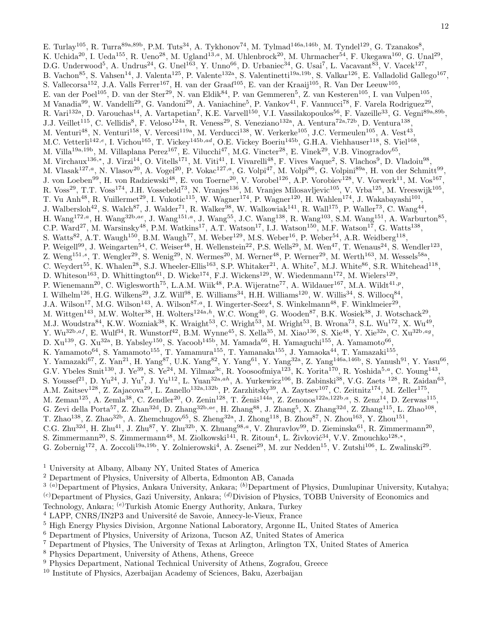E. Turlay<sup>105</sup>, R. Turra<sup>89a,89b</sup>, P.M. Tuts<sup>34</sup>, A. Tykhonov<sup>74</sup>, M. Tylmad<sup>146a,146b</sup>, M. Tyndel<sup>129</sup>, G. Tzanakos<sup>8</sup>, K. Uchida<sup>20</sup>, I. Ueda<sup>155</sup>, R. Ueno<sup>28</sup>, M. Ugland<sup>13,a</sup>, M. Uhlenbrock<sup>20</sup>, M. Uhrmacher<sup>54</sup>, F. Ukegawa<sup>160</sup>, G. Unal<sup>29</sup>, D.G. Underwood<sup>5</sup>, A. Undrus<sup>24</sup>, G. Unel<sup>163</sup>, Y. Unno<sup>66</sup>, D. Urbaniec<sup>34</sup>, G. Usai<sup>7</sup>, L. Vacavant<sup>83</sup>, V. Vacek<sup>127</sup>, B. Vachon<sup>85</sup>, S. Vahsen<sup>14</sup>, J. Valenta<sup>125</sup>, P. Valente<sup>132a</sup>, S. Valentinetti<sup>19a,19b</sup>, S. Valkar<sup>126</sup>, E. Valladolid Gallego<sup>167</sup>, S. Vallecorsa<sup>152</sup>, J.A. Valls Ferrer<sup>167</sup>, H. van der Graaf<sup>105</sup>, E. van der Kraaij<sup>105</sup>, R. Van Der Leeuw<sup>105</sup>, E. van der Poel<sup>105</sup>, D. van der Ster<sup>29</sup>, N. van Eldik<sup>84</sup>, P. van Gemmeren<sup>5</sup>, Z. van Kesteren<sup>105</sup>, I. van Vulpen<sup>105</sup>, M Vanadia<sup>99</sup>, W. Vandelli<sup>29</sup>, G. Vandoni<sup>29</sup>, A. Vaniachine<sup>5</sup>, P. Vankov<sup>41</sup>, F. Vannucci<sup>78</sup>, F. Varela Rodriguez<sup>29</sup>, R. Vari<sup>132a</sup>, D. Varouchas<sup>14</sup>, A. Vartapetian<sup>7</sup>, K.E. Varvell<sup>150</sup>, V.I. Vassilakopoulos<sup>56</sup>, F. Vazeille<sup>33</sup>, G. Vegni<sup>89a,89b</sup>, J.J. Veillet<sup>115</sup>, C. Vellidis<sup>8</sup>, F. Veloso<sup>124a</sup>, R. Veness<sup>29</sup>, S. Veneziano<sup>132a</sup>, A. Ventura<sup>72a,72b</sup>, D. Ventura<sup>138</sup>, M. Venturi<sup>48</sup>, N. Venturi<sup>158</sup>, V. Vercesi<sup>119a</sup>, M. Verducci<sup>138</sup>, W. Verkerke<sup>105</sup>, J.C. Vermeulen<sup>105</sup>, A. Vest<sup>43</sup>, M.C. Vetterli<sup>142,e</sup>, I. Vichou<sup>165</sup>, T. Vickey<sup>145b,ad</sup>, O.E. Vickey Boeriu<sup>145b</sup>, G.H.A. Viehhauser<sup>118</sup>, S. Viel<sup>168</sup>, M. Villa<sup>19a,19b</sup>, M. Villaplana Perez<sup>167</sup>, E. Vilucchi<sup>47</sup>, M.G. Vincter<sup>28</sup>, E. Vinek<sup>29</sup>, V.B. Vinogradov<sup>65</sup>, M. Virchaux<sup>136,∗</sup>, J. Virzi<sup>14</sup>, O. Vitells<sup>171</sup>, M. Viti<sup>41</sup>, I. Vivarelli<sup>48</sup>, F. Vives Vaque<sup>2</sup>, S. Vlachos<sup>9</sup>, D. Vladoiu<sup>98</sup>, M. Vlasak $^{127,a}$ , N. Vlasov $^{20}$ , A. Vogel $^{20}$ , P. Vokac $^{127,a}$ , G. Volpi $^{47}$ , M. Volpi $^{86}$ , G. Volpini $^{89a}$ , H. von der Schmitt $^{99}$ , J. von Loeben<sup>99</sup>, H. von Radziewski<sup>48</sup>, E. von Toerne<sup>20</sup>, V. Vorobel<sup>126</sup>, A.P. Vorobiev<sup>128</sup>, V. Vorwerk<sup>11</sup>, M. Vos<sup>167</sup>, R. Voss<sup>29</sup>, T.T. Voss<sup>174</sup>, J.H. Vossebeld<sup>73</sup>, N. Vranjes<sup>136</sup>, M. Vranjes Milosavljevic<sup>105</sup>, V. Vrba<sup>125</sup>, M. Vreeswijk<sup>105</sup>, T. Vu Anh<sup>48</sup>, R. Vuillermet<sup>29</sup>, I. Vukotic<sup>115</sup>, W. Wagner<sup>174</sup>, P. Wagner<sup>120</sup>, H. Wahlen<sup>174</sup>, J. Wakabayashi<sup>101</sup>, J. Walbersloh<sup>42</sup>, S. Walch<sup>87</sup>, J. Walder<sup>71</sup>, R. Walker<sup>98</sup>, W. Walkowiak<sup>141</sup>, R. Wall<sup>175</sup>, P. Waller<sup>73</sup>, C. Wang<sup>44</sup>,  $H.$  Wang<sup>172,a</sup>, H. Wang<sup>32b,ae</sup>, J. Wang<sup>151,a</sup>, J. Wang<sup>55</sup>, J.C. Wang<sup>138</sup>, R. Wang<sup>103</sup>, S.M. Wang<sup>151</sup>, A. Warburton<sup>85</sup>, C.P. Ward<sup>27</sup>, M. Warsinsky<sup>48</sup>, P.M. Watkins<sup>17</sup>, A.T. Watson<sup>17</sup>, I.J. Watson<sup>150</sup>, M.F. Watson<sup>17</sup>, G. Watts<sup>138</sup>, S. Watts<sup>82</sup>, A.T. Waugh<sup>150</sup>, B.M. Waugh<sup>77</sup>, M. Weber<sup>129</sup>, M.S. Weber<sup>16</sup>, P. Weber<sup>54</sup>, A.R. Weidberg<sup>118</sup>, P. Weigell<sup>99</sup>, J. Weingarten<sup>54</sup>, C. Weiser<sup>48</sup>, H. Wellenstein<sup>22</sup>, P.S. Wells<sup>29</sup>, M. Wen<sup>47</sup>, T. Wenaus<sup>24</sup>, S. Wendler<sup>123</sup>, Z. Weng<sup>151,s</sup>, T. Wengler<sup>29</sup>, S. Wenig<sup>29</sup>, N. Wermes<sup>20</sup>, M. Werner<sup>48</sup>, P. Werner<sup>29</sup>, M. Werth<sup>163</sup>, M. Wessels<sup>58a</sup>, C. Weydert<sup>55</sup>, K. Whalen<sup>28</sup>, S.J. Wheeler-Ellis<sup>163</sup>, S.P. Whitaker<sup>21</sup>, A. White<sup>7</sup>, M.J. White<sup>86</sup>, S.R. Whitehead<sup>118</sup>, D. Whiteson<sup>163</sup>, D. Whittington<sup>61</sup>, D. Wicke<sup>174</sup>, F.J. Wickens<sup>129</sup>, W. Wiedenmann<sup>172</sup>, M. Wielers<sup>129</sup>, P. Wienemann<sup>20</sup>, C. Wiglesworth<sup>75</sup>, L.A.M. Wiik<sup>48</sup>, P.A. Wijeratne<sup>77</sup>, A. Wildauer<sup>167</sup>, M.A. Wildt<sup>41,p</sup>, I. Wilhelm<sup>126</sup>, H.G. Wilkens<sup>29</sup>, J.Z. Will<sup>98</sup>, E. Williams<sup>34</sup>, H.H. Williams<sup>120</sup>, W. Willis<sup>34</sup>, S. Willocq<sup>84</sup>, J.A. Wilson<sup>17</sup>, M.G. Wilson<sup>143</sup>, A. Wilson<sup>87,a</sup>, I. Wingerter-Seez<sup>4</sup>, S. Winkelmann<sup>48</sup>, F. Winklmeier<sup>29</sup>, M. Wittgen<sup>143</sup>, M.W. Wolter<sup>38</sup>, H. Wolters<sup>124a,h</sup>, W.C. Wong<sup>40</sup>, G. Wooden<sup>87</sup>, B.K. Wosiek<sup>38</sup>, J. Wotschack<sup>29</sup>, M.J. Woudstra $^{84}$ , K.W. Wozniak $^{38}$ , K. Wraight $^{53}$ , C. Wright $^{53}$ , M. Wright $^{53}$ , B. Wrona $^{73}$ , S.L. Wu $^{172}$ , X. Wu $^{49}$ ,  $Y. Wu^{32b,af}, E. Wulf^{34}, R. Wunstorf^{42}, B.M. Wynne^{45}, S. Xella^{35}, M. Xiao^{136}, S. Xie^{48}, Y. Xie^{32a}, C. Xu^{32b,ag}, S. Xu^{32b,ag}$ D.  $Xu^{139}$ , G.  $Xu^{32a}$ , B. Yabsley<sup>150</sup>, S. Yacoob<sup>145b</sup>, M. Yamada<sup>66</sup>, H. Yamaguchi<sup>155</sup>, A. Yamamoto<sup>66</sup>, K. Yamamoto<sup>64</sup>, S. Yamamoto<sup>155</sup>, T. Yamamura<sup>155</sup>, T. Yamanaka<sup>155</sup>, J. Yamaoka<sup>44</sup>, T. Yamazaki<sup>155</sup>, Y. Yamazaki<sup>67</sup>, Z. Yan<sup>21</sup>, H. Yang<sup>87</sup>, U.K. Yang<sup>82</sup>, Y. Yang<sup>61</sup>, Y. Yang<sup>32a</sup>, Z. Yang<sup>146a,146b</sup>, S. Yanush<sup>91</sup>, Y. Yasu<sup>66</sup>, G.V. Ybeles Smit<sup>130</sup>, J. Ye<sup>39</sup>, S. Ye<sup>24</sup>, M. Yilmaz<sup>3c</sup>, R. Yoosoofmiya<sup>123</sup>, K. Yorita<sup>170</sup>, R. Yoshida<sup>5,a</sup>, C. Young<sup>143</sup>, S. Youssef<sup>21</sup>, D. Yu<sup>24</sup>, J. Yu<sup>7</sup>, J. Yu<sup>112</sup>, L. Yuan<sup>32a,ah</sup>, A. Yurkewicz<sup>106</sup>, B. Zabinski<sup>38</sup>, V.G. Zaets<sup>128</sup>, R. Zaidan<sup>63</sup>, A.M. Zaitsev<sup>128</sup>, Z. Zajacova<sup>29</sup>, L. Zanello<sup>132a,132b</sup>, P. Zarzhitsky<sup>39</sup>, A. Zaytsev<sup>107</sup>, C. Zeitnitz<sup>174</sup>, M. Zeller<sup>175</sup>, M. Zeman<sup>125</sup>, A. Zemla<sup>38</sup>, C. Zendler<sup>20</sup>, O. Zenin<sup>128</sup>, T. Ženiš<sup>144a</sup>, Z. Zenonos<sup>122a,122b,a</sup>, S. Zenz<sup>14</sup>, D. Zerwas<sup>115</sup>, G. Zevi della Porta<sup>57</sup>, Z. Zhan<sup>32d</sup>, D. Zhang<sup>32b,ae</sup>, H. Zhang<sup>88</sup>, J. Zhang<sup>5</sup>, X. Zhang<sup>32d</sup>, Z. Zhang<sup>115</sup>, L. Zhao<sup>108</sup>, T. Zhao<sup>138</sup>, Z. Zhao<sup>32b</sup>, A. Zhemchugov<sup>65</sup>, S. Zheng<sup>32a</sup>, J. Zhong<sup>118</sup>, B. Zhou<sup>87</sup>, N. Zhou<sup>163</sup>, Y. Zhou<sup>151</sup>, C.G. Zhu<sup>32d</sup>, H. Zhu<sup>41</sup>, J. Zhu<sup>87</sup>, Y. Zhu<sup>32b</sup>, X. Zhuang<sup>98,a</sup>, V. Zhuravlov<sup>99</sup>, D. Zieminska<sup>61</sup>, R. Zimmermann<sup>20</sup>, S. Zimmermann<sup>20</sup>, S. Zimmermann<sup>48</sup>, M. Ziolkowski<sup>141</sup>, R. Zitoun<sup>4</sup>, L. Živković<sup>34</sup>, V.V. Zmouchko<sup>128,\*</sup>, G. Zobernig<sup>172</sup>, A. Zoccoli<sup>19a,19b</sup>, Y. Zolnierowski<sup>4</sup>, A. Zsenei<sup>29</sup>, M. zur Nedden<sup>15</sup>, V. Zutshi<sup>106</sup>, L. Zwalinski<sup>29</sup>.

- <sup>1</sup> University at Albany, Albany NY, United States of America
- <sup>2</sup> Department of Physics, University of Alberta, Edmonton AB, Canada
- $3(a)$ Department of Physics, Ankara University, Ankara;  $(b)$ Department of Physics, Dumlupinar University, Kutahya; (c)Department of Physics, Gazi University, Ankara; (d)Division of Physics, TOBB University of Economics and
- Technology, Ankara; (e)Turkish Atomic Energy Authority, Ankara, Turkey
- <sup>4</sup> LAPP, CNRS/IN2P3 and Université de Savoie, Annecy-le-Vieux, France
- <sup>5</sup> High Energy Physics Division, Argonne National Laboratory, Argonne IL, United States of America
- <sup>6</sup> Department of Physics, University of Arizona, Tucson AZ, United States of America
- <sup>7</sup> Department of Physics, The University of Texas at Arlington, Arlington TX, United States of America
- <sup>8</sup> Physics Department, University of Athens, Athens, Greece
- <sup>9</sup> Physics Department, National Technical University of Athens, Zografou, Greece
- <sup>10</sup> Institute of Physics, Azerbaijan Academy of Sciences, Baku, Azerbaijan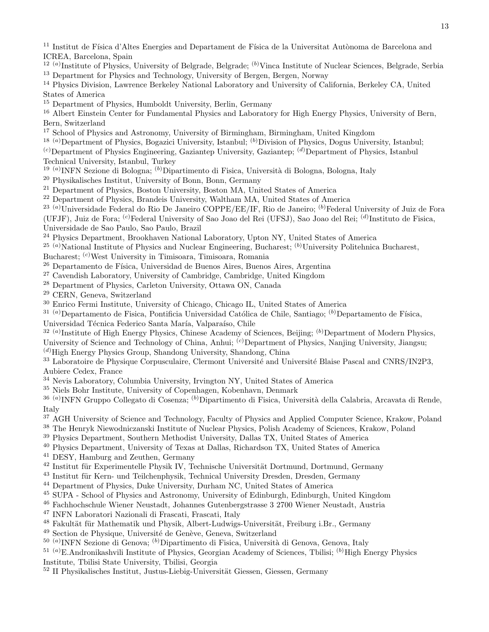<sup>11</sup> Institut de Física d'Altes Energies and Departament de Física de la Universitat Autònoma de Barcelona and ICREA, Barcelona, Spain

<sup>12 (a)</sup>Institute of Physics, University of Belgrade, Belgrade; <sup>(b)</sup>Vinca Institute of Nuclear Sciences, Belgrade, Serbia <sup>13</sup> Department for Physics and Technology, University of Bergen, Bergen, Norway

<sup>14</sup> Physics Division, Lawrence Berkeley National Laboratory and University of California, Berkeley CA, United States of America

<sup>15</sup> Department of Physics, Humboldt University, Berlin, Germany

<sup>16</sup> Albert Einstein Center for Fundamental Physics and Laboratory for High Energy Physics, University of Bern, Bern, Switzerland

<sup>17</sup> School of Physics and Astronomy, University of Birmingham, Birmingham, United Kingdom

<sup>18 (a)</sup>Department of Physics, Bogazici University, Istanbul; <sup>(b)</sup>Division of Physics, Dogus University, Istanbul;

 $(c)$ Department of Physics Engineering, Gaziantep University, Gaziantep;  $(d)$ Department of Physics, Istanbul Technical University, Istanbul, Turkey

<sup>19 (a)</sup> INFN Sezione di Bologna; <sup>(b)</sup> Dipartimento di Fisica, Università di Bologna, Bologna, Italy

<sup>20</sup> Physikalisches Institut, University of Bonn, Bonn, Germany

<sup>21</sup> Department of Physics, Boston University, Boston MA, United States of America

<sup>22</sup> Department of Physics, Brandeis University, Waltham MA, United States of America

<sup>23 (a)</sup>Universidade Federal do Rio De Janeiro COPPE/EE/IF, Rio de Janeiro; <sup>(b)</sup>Federal University of Juiz de Fora

(UFJF), Juiz de Fora; <sup>(c)</sup>Federal University of Sao Joao del Rei (UFSJ), Sao Joao del Rei; <sup>(d)</sup>Instituto de Fisica,

Universidade de Sao Paulo, Sao Paulo, Brazil

<sup>24</sup> Physics Department, Brookhaven National Laboratory, Upton NY, United States of America

<sup>25 (a)</sup>National Institute of Physics and Nuclear Engineering, Bucharest;  $(b)$ University Politehnica Bucharest,

Bucharest; (c)West University in Timisoara, Timisoara, Romania

- $26$  Departamento de Física, Universidad de Buenos Aires, Buenos Aires, Argentina
- $27$  Cavendish Laboratory, University of Cambridge, Cambridge, United Kingdom
- <sup>28</sup> Department of Physics, Carleton University, Ottawa ON, Canada
- <sup>29</sup> CERN, Geneva, Switzerland
- <sup>30</sup> Enrico Fermi Institute, University of Chicago, Chicago IL, United States of America

 $31$ <sup>(a)</sup>Departamento de Fisica, Pontificia Universidad Católica de Chile, Santiago; <sup>(b)</sup>Departamento de Física,

Universidad Técnica Federico Santa María, Valparaíso, Chile

 $32$  (a) Institute of High Energy Physics, Chinese Academy of Sciences, Beijing; <sup>(b)</sup>Department of Modern Physics, University of Science and Technology of China, Anhui; <sup>(c)</sup>Department of Physics, Nanjing University, Jiangsu;

 $(d)$ High Energy Physics Group, Shandong University, Shandong, China

<sup>33</sup> Laboratoire de Physique Corpusculaire, Clermont Université and Université Blaise Pascal and CNRS/IN2P3, Aubiere Cedex, France

<sup>34</sup> Nevis Laboratory, Columbia University, Irvington NY, United States of America

<sup>35</sup> Niels Bohr Institute, University of Copenhagen, Kobenhavn, Denmark

<sup>36 (a)</sup>INFN Gruppo Collegato di Cosenza; <sup>(b)</sup>Dipartimento di Fisica, Università della Calabria, Arcavata di Rende, Italy

- <sup>37</sup> AGH University of Science and Technology, Faculty of Physics and Applied Computer Science, Krakow, Poland
- <sup>38</sup> The Henryk Niewodniczanski Institute of Nuclear Physics, Polish Academy of Sciences, Krakow, Poland

<sup>39</sup> Physics Department, Southern Methodist University, Dallas TX, United States of America

- <sup>40</sup> Physics Department, University of Texas at Dallas, Richardson TX, United States of America
- <sup>41</sup> DESY, Hamburg and Zeuthen, Germany
- <sup>42</sup> Institut für Experimentelle Physik IV, Technische Universität Dortmund, Dortmund, Germany
- $^{43}$  Institut für Kern- und Teilchenphysik, Technical University Dresden, Dresden, Germany
- <sup>44</sup> Department of Physics, Duke University, Durham NC, United States of America
- <sup>45</sup> SUPA School of Physics and Astronomy, University of Edinburgh, Edinburgh, United Kingdom
- <sup>46</sup> Fachhochschule Wiener Neustadt, Johannes Gutenbergstrasse 3 2700 Wiener Neustadt, Austria
- <sup>47</sup> INFN Laboratori Nazionali di Frascati, Frascati, Italy
- <sup>48</sup> Fakultät für Mathematik und Physik, Albert-Ludwigs-Universität, Freiburg i.Br., Germany
- <sup>49</sup> Section de Physique, Université de Genève, Geneva, Switzerland
- <sup>50 (a)</sup>INFN Sezione di Genova; <sup>(b)</sup>Dipartimento di Fisica, Università di Genova, Genova, Italy

 $^{51}$  (a)E.Andronikashvili Institute of Physics, Georgian Academy of Sciences, Tbilisi; <sup>(b)</sup>High Energy Physics Institute, Tbilisi State University, Tbilisi, Georgia

 $52$  II Physikalisches Institut, Justus-Liebig-Universität Giessen, Giessen, Germany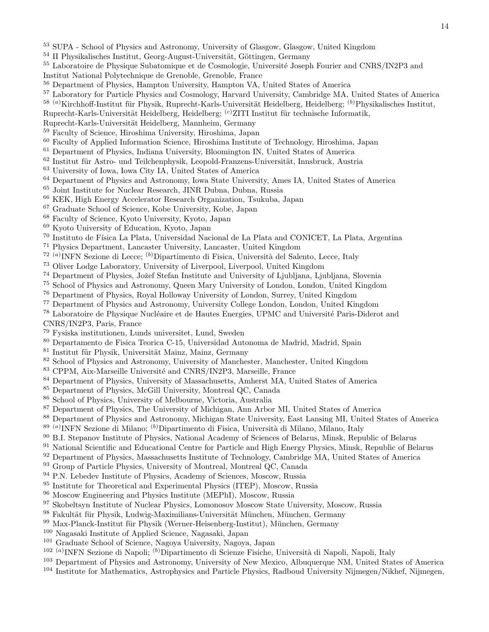- SUPA School of Physics and Astronomy, University of Glasgow, Glasgow, United Kingdom
- II Physikalisches Institut, Georg-August-Universität, Göttingen, Germany
- <sup>55</sup> Laboratoire de Physique Subatomique et de Cosmologie, Université Joseph Fourier and CNRS/IN2P3 and
- Institut National Polytechnique de Grenoble, Grenoble, France
- Department of Physics, Hampton University, Hampton VA, United States of America
- Laboratory for Particle Physics and Cosmology, Harvard University, Cambridge MA, United States of America

 $^{58}$  (a)Kirchhoff-Institut für Physik, Ruprecht-Karls-Universität Heidelberg, Heidelberg; (b)Physikalisches Institut,

- Ruprecht-Karls-Universität Heidelberg, Heidelberg; <sup>(c)</sup>ZITI Institut für technische Informatik,
- Ruprecht-Karls-Universität Heidelberg, Mannheim, Germany
- Faculty of Science, Hiroshima University, Hiroshima, Japan
- Faculty of Applied Information Science, Hiroshima Institute of Technology, Hiroshima, Japan
- Department of Physics, Indiana University, Bloomington IN, United States of America
- $^{62}$ Institut für Astro- und Teilchenphysik, Leopold-Franzens-Universität, Innsbruck, Austria
- University of Iowa, Iowa City IA, United States of America
- Department of Physics and Astronomy, Iowa State University, Ames IA, United States of America
- Joint Institute for Nuclear Research, JINR Dubna, Dubna, Russia
- KEK, High Energy Accelerator Research Organization, Tsukuba, Japan
- Graduate School of Science, Kobe University, Kobe, Japan
- Faculty of Science, Kyoto University, Kyoto, Japan
- Kyoto University of Education, Kyoto, Japan
- <sup>70</sup> Instituto de Física La Plata, Universidad Nacional de La Plata and CONICET, La Plata, Argentina
- Physics Department, Lancaster University, Lancaster, United Kingdom
- <sup>72 (a)</sup> INFN Sezione di Lecce; <sup>(b)</sup> Dipartimento di Fisica, Università del Salento, Lecce, Italy
- Oliver Lodge Laboratory, University of Liverpool, Liverpool, United Kingdom
- <sup>74</sup> Department of Physics, Jožef Stefan Institute and University of Ljubljana, Ljubljana, Slovenia
- School of Physics and Astronomy, Queen Mary University of London, London, United Kingdom
- Department of Physics, Royal Holloway University of London, Surrey, United Kingdom
- Department of Physics and Astronomy, University College London, London, United Kingdom
- <sup>78</sup> Laboratoire de Physique Nucléaire et de Hautes Energies, UPMC and Université Paris-Diderot and CNRS/IN2P3, Paris, France
- Fysiska institutionen, Lunds universitet, Lund, Sweden
- Departamento de Fisica Teorica C-15, Universidad Autonoma de Madrid, Madrid, Spain
- 81 Institut für Physik, Universität Mainz, Mainz, Germany
- <sup>82</sup> School of Physics and Astronomy, University of Manchester, Manchester, United Kingdom
- <sup>83</sup> CPPM, Aix-Marseille Université and CNRS/IN2P3, Marseille, France
- Department of Physics, University of Massachusetts, Amherst MA, United States of America
- Department of Physics, McGill University, Montreal QC, Canada
- School of Physics, University of Melbourne, Victoria, Australia
- Department of Physics, The University of Michigan, Ann Arbor MI, United States of America
- Department of Physics and Astronomy, Michigan State University, East Lansing MI, United States of America
- <sup>89 (a)</sup>INFN Sezione di Milano; <sup>(b)</sup>Dipartimento di Fisica, Università di Milano, Milano, Italy
- B.I. Stepanov Institute of Physics, National Academy of Sciences of Belarus, Minsk, Republic of Belarus
- <sup>91</sup> National Scientific and Educational Centre for Particle and High Energy Physics, Minsk, Republic of Belarus
- Department of Physics, Massachusetts Institute of Technology, Cambridge MA, United States of America
- <sup>93</sup> Group of Particle Physics, University of Montreal, Montreal QC, Canada
- <sup>94</sup> P.N. Lebedev Institute of Physics, Academy of Sciences, Moscow, Russia
- <sup>95</sup> Institute for Theoretical and Experimental Physics (ITEP), Moscow, Russia
- Moscow Engineering and Physics Institute (MEPhI), Moscow, Russia
- Skobeltsyn Institute of Nuclear Physics, Lomonosov Moscow State University, Moscow, Russia
- 98 Fakultät für Physik, Ludwig-Maximilians-Universität München, München, Germany
- Max-Planck-Institut für Physik (Werner-Heisenberg-Institut), München, Germany
- Nagasaki Institute of Applied Science, Nagasaki, Japan
- Graduate School of Science, Nagoya University, Nagoya, Japan
- <sup>102 (a)</sup>INFN Sezione di Napoli; <sup>(b)</sup>Dipartimento di Scienze Fisiche, Università di Napoli, Napoli, Italy
- Department of Physics and Astronomy, University of New Mexico, Albuquerque NM, United States of America
- Institute for Mathematics, Astrophysics and Particle Physics, Radboud University Nijmegen/Nikhef, Nijmegen,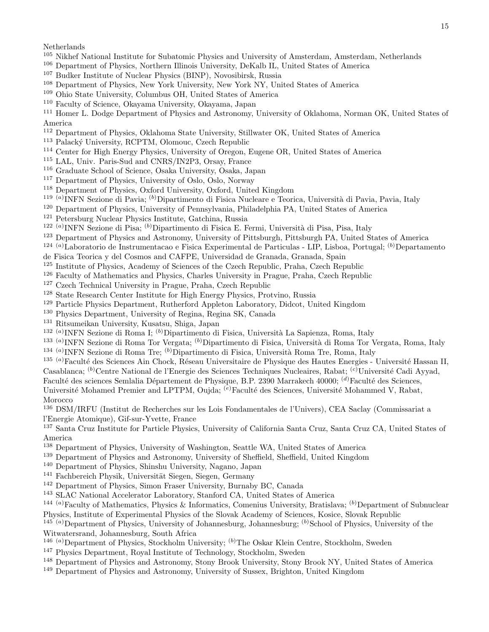Netherlands

- Nikhef National Institute for Subatomic Physics and University of Amsterdam, Amsterdam, Netherlands
- Department of Physics, Northern Illinois University, DeKalb IL, United States of America
- Budker Institute of Nuclear Physics (BINP), Novosibirsk, Russia
- Department of Physics, New York University, New York NY, United States of America
- Ohio State University, Columbus OH, United States of America
- Faculty of Science, Okayama University, Okayama, Japan
- Homer L. Dodge Department of Physics and Astronomy, University of Oklahoma, Norman OK, United States of America
- Department of Physics, Oklahoma State University, Stillwater OK, United States of America
- <sup>113</sup> Palacký University, RCPTM, Olomouc, Czech Republic
- Center for High Energy Physics, University of Oregon, Eugene OR, United States of America
- LAL, Univ. Paris-Sud and CNRS/IN2P3, Orsay, France
- Graduate School of Science, Osaka University, Osaka, Japan
- Department of Physics, University of Oslo, Oslo, Norway
- Department of Physics, Oxford University, Oxford, United Kingdom
- <sup>119 (a)</sup>INFN Sezione di Pavia; <sup>(b)</sup>Dipartimento di Fisica Nucleare e Teorica, Università di Pavia, Pavia, Italy
- Department of Physics, University of Pennsylvania, Philadelphia PA, United States of America
- Petersburg Nuclear Physics Institute, Gatchina, Russia
- <sup>122 (a)</sup>INFN Sezione di Pisa; <sup>(b)</sup>Dipartimento di Fisica E. Fermi, Università di Pisa, Pisa, Italy
- Department of Physics and Astronomy, University of Pittsburgh, Pittsburgh PA, United States of America
- <sup>124 (a)</sup>Laboratorio de Instrumentacao e Fisica Experimental de Particulas LIP, Lisboa, Portugal; <sup>(b)</sup>Departamento
- de Fisica Teorica y del Cosmos and CAFPE, Universidad de Granada, Granada, Spain
- Institute of Physics, Academy of Sciences of the Czech Republic, Praha, Czech Republic
- Faculty of Mathematics and Physics, Charles University in Prague, Praha, Czech Republic
- Czech Technical University in Prague, Praha, Czech Republic
- State Research Center Institute for High Energy Physics, Protvino, Russia
- Particle Physics Department, Rutherford Appleton Laboratory, Didcot, United Kingdom
- Physics Department, University of Regina, Regina SK, Canada
- Ritsumeikan University, Kusatsu, Shiga, Japan
- <sup>132 (a)</sup>INFN Sezione di Roma I; <sup>(b)</sup>Dipartimento di Fisica, Università La Sapienza, Roma, Italy
- <sup>133 (a)</sup>INFN Sezione di Roma Tor Vergata; <sup>(b)</sup>Dipartimento di Fisica, Università di Roma Tor Vergata, Roma, Italy <sup>134 (a)</sup>INFN Sezione di Roma Tre; <sup>(b)</sup>Dipartimento di Fisica, Università Roma Tre, Roma, Italy
- <sup>135 (a)</sup>Faculté des Sciences Ain Chock, Réseau Universitaire de Physique des Hautes Energies Université Hassan II,

Casablanca; <sup>(b)</sup>Centre National de l'Energie des Sciences Techniques Nucleaires, Rabat; <sup>(c)</sup>Université Cadi Ayyad, Faculté des sciences Semlalia Département de Physique, B.P. 2390 Marrakech 40000; <sup>(d)</sup>Faculté des Sciences, Université Mohamed Premier and LPTPM, Oujda; <sup>(e)</sup>Faculté des Sciences, Université Mohammed V, Rabat, Morocco

 DSM/IRFU (Institut de Recherches sur les Lois Fondamentales de l'Univers), CEA Saclay (Commissariat a l'Energie Atomique), Gif-sur-Yvette, France

 Santa Cruz Institute for Particle Physics, University of California Santa Cruz, Santa Cruz CA, United States of America

- Department of Physics, University of Washington, Seattle WA, United States of America
- Department of Physics and Astronomy, University of Sheffield, Sheffield, United Kingdom
- Department of Physics, Shinshu University, Nagano, Japan
- <sup>141</sup> Fachbereich Physik, Universität Siegen, Siegen, Germany
- Department of Physics, Simon Fraser University, Burnaby BC, Canada
- SLAC National Accelerator Laboratory, Stanford CA, United States of America

<sup>144 (a)</sup>Faculty of Mathematics, Physics & Informatics, Comenius University, Bratislava; <sup>(b)</sup>Department of Subnuclear Physics, Institute of Experimental Physics of the Slovak Academy of Sciences, Kosice, Slovak Republic

<sup>(a)</sup>Department of Physics, University of Johannesburg, Johannesburg; <sup>(b)</sup>School of Physics, University of the Witwatersrand, Johannesburg, South Africa

- <sup>146 (a)</sup>Department of Physics, Stockholm University; <sup>(b)</sup>The Oskar Klein Centre, Stockholm, Sweden
- Physics Department, Royal Institute of Technology, Stockholm, Sweden
- Department of Physics and Astronomy, Stony Brook University, Stony Brook NY, United States of America
- Department of Physics and Astronomy, University of Sussex, Brighton, United Kingdom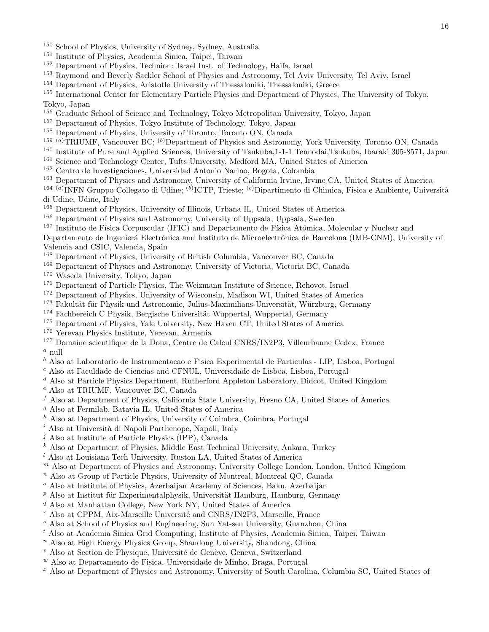- <sup>150</sup> School of Physics, University of Sydney, Sydney, Australia
- <sup>151</sup> Institute of Physics, Academia Sinica, Taipei, Taiwan
- <sup>152</sup> Department of Physics, Technion: Israel Inst. of Technology, Haifa, Israel
- <sup>153</sup> Raymond and Beverly Sackler School of Physics and Astronomy, Tel Aviv University, Tel Aviv, Israel
- <sup>154</sup> Department of Physics, Aristotle University of Thessaloniki, Thessaloniki, Greece
- <sup>155</sup> International Center for Elementary Particle Physics and Department of Physics, The University of Tokyo, Tokyo, Japan
- <sup>156</sup> Graduate School of Science and Technology, Tokyo Metropolitan University, Tokyo, Japan
- <sup>157</sup> Department of Physics, Tokyo Institute of Technology, Tokyo, Japan
- <sup>158</sup> Department of Physics, University of Toronto, Toronto ON, Canada
- 159 (a)TRIUMF, Vancouver BC; (b)Department of Physics and Astronomy, York University, Toronto ON, Canada
- <sup>160</sup> Institute of Pure and Applied Sciences, University of Tsukuba,1-1-1 Tennodai,Tsukuba, Ibaraki 305-8571, Japan
- <sup>161</sup> Science and Technology Center, Tufts University, Medford MA, United States of America
- <sup>162</sup> Centro de Investigaciones, Universidad Antonio Narino, Bogota, Colombia
- <sup>163</sup> Department of Physics and Astronomy, University of California Irvine, Irvine CA, United States of America
- <sup>164 (a)</sup>INFN Gruppo Collegato di Udine; <sup>(b)</sup>ICTP, Trieste; <sup>(c)</sup>Dipartimento di Chimica, Fisica e Ambiente, Università di Udine, Udine, Italy
- <sup>165</sup> Department of Physics, University of Illinois, Urbana IL, United States of America
- <sup>166</sup> Department of Physics and Astronomy, University of Uppsala, Uppsala, Sweden
- <sup>167</sup> Instituto de Física Corpuscular (IFIC) and Departamento de Física Atómica, Molecular y Nuclear and

Departamento de Ingenierá Electrónica and Instituto de Microelectrónica de Barcelona (IMB-CNM), University of Valencia and CSIC, Valencia, Spain

- <sup>168</sup> Department of Physics, University of British Columbia, Vancouver BC, Canada
- <sup>169</sup> Department of Physics and Astronomy, University of Victoria, Victoria BC, Canada
- <sup>170</sup> Waseda University, Tokyo, Japan
- <sup>171</sup> Department of Particle Physics, The Weizmann Institute of Science, Rehovot, Israel
- <sup>172</sup> Department of Physics, University of Wisconsin, Madison WI, United States of America
- <sup>173</sup> Fakultät für Physik und Astronomie, Julius-Maximilians-Universität, Würzburg, Germany
- $174$  Fachbereich C Physik, Bergische Universität Wuppertal, Wuppertal, Germany
- <sup>175</sup> Department of Physics, Yale University, New Haven CT, United States of America
- <sup>176</sup> Yerevan Physics Institute, Yerevan, Armenia
- <sup>177</sup> Domaine scientifique de la Doua, Centre de Calcul CNRS/IN2P3, Villeurbanne Cedex, France  $\alpha$  null
- <sup>b</sup> Also at Laboratorio de Instrumentacao e Fisica Experimental de Particulas LIP, Lisboa, Portugal
- <sup>c</sup> Also at Faculdade de Ciencias and CFNUL, Universidade de Lisboa, Lisboa, Portugal
- <sup>d</sup> Also at Particle Physics Department, Rutherford Appleton Laboratory, Didcot, United Kingdom
- <sup>e</sup> Also at TRIUMF, Vancouver BC, Canada
- $f$  Also at Department of Physics, California State University, Fresno CA, United States of America
- <sup>g</sup> Also at Fermilab, Batavia IL, United States of America
- $^{\,h}$  Also at Department of Physics, University of Coimbra, Coimbra, Portugal
- $i$  Also at Università di Napoli Parthenope, Napoli, Italy
- $j$  Also at Institute of Particle Physics (IPP), Canada
- $k$  Also at Department of Physics, Middle East Technical University, Ankara, Turkey
- $l$  Also at Louisiana Tech University, Ruston LA, United States of America
- $<sup>m</sup>$  Also at Department of Physics and Astronomy, University College London, London, United Kingdom</sup>
- $n$  Also at Group of Particle Physics, University of Montreal, Montreal QC, Canada
- $\degree$  Also at Institute of Physics, Azerbaijan Academy of Sciences, Baku, Azerbaijan
- $p$  Also at Institut für Experimentalphysik, Universität Hamburg, Hamburg, Germany
- <sup>q</sup> Also at Manhattan College, New York NY, United States of America
- $r$  Also at CPPM, Aix-Marseille Université and CNRS/IN2P3, Marseille, France
- <sup>s</sup> Also at School of Physics and Engineering, Sun Yat-sen University, Guanzhou, China
- <sup>t</sup> Also at Academia Sinica Grid Computing, Institute of Physics, Academia Sinica, Taipei, Taiwan
- $^u$  Also at High Energy Physics Group, Shandong University, Shandong, China
- $v$  Also at Section de Physique, Université de Genève, Geneva, Switzerland
- $W$  Also at Departamento de Fisica, Universidade de Minho, Braga, Portugal
- <sup>x</sup> Also at Department of Physics and Astronomy, University of South Carolina, Columbia SC, United States of